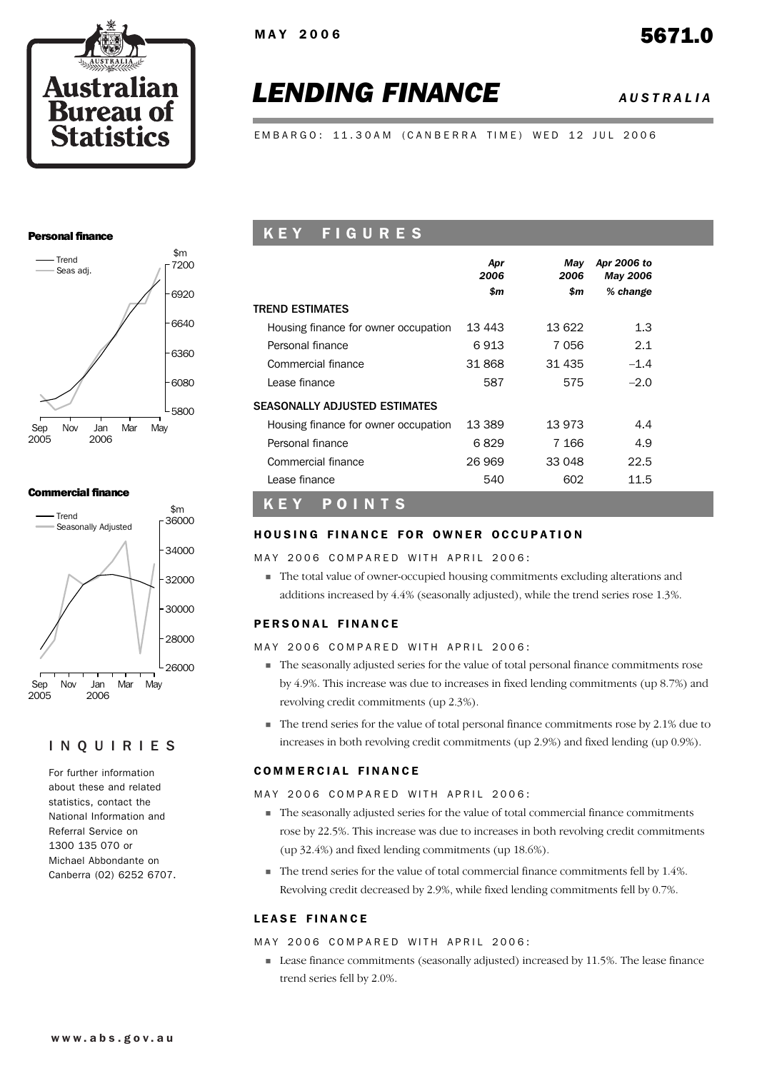

# *LENDING FINANCE AUSTRALIA*

EMBARGO: 11.30AM (CANBERRA TIME) WED 12 JUL 2006

#### Personal finance



#### Commercial finance



#### INQUIRIES

For further information about these and related statistics, contact the National Information and Referral Service on 1300 135 070 or Michael Abbondante on Canberra (02) 6252 6707.

## K E Y F I G U R E S

|                                      | Apr<br>2006<br>\$m | May<br>2006<br>\$m | Apr 2006 to<br>May 2006<br>% change |  |
|--------------------------------------|--------------------|--------------------|-------------------------------------|--|
| <b>TREND ESTIMATES</b>               |                    |                    |                                     |  |
| Housing finance for owner occupation | 13 443             | 13 622             | 1.3                                 |  |
| Personal finance                     | 6913               | 7056               | 2.1                                 |  |
| Commercial finance                   | 31 868             | 31 435             | $-1.4$                              |  |
| Lease finance                        | 587                | 575                | $-2.0$                              |  |
| SEASONALLY ADJUSTED ESTIMATES        |                    |                    |                                     |  |
| Housing finance for owner occupation | 13 389             | 13 973             | 4.4                                 |  |
| Personal finance                     | 6829               | 7 1 6 6            | 4.9                                 |  |
| Commercial finance                   | 26 969             | 33 048             | 22.5                                |  |
| Lease finance                        | 540                | 602                | 11.5                                |  |

## K E Y P O I N T S

#### HOUSING FINANCE FOR OWNER OCCUPATION

MAY 2006 COMPARED WITH APRIL 2006:

! The total value of owner-occupied housing commitments excluding alterations and additions increased by 4.4% (seasonally adjusted), while the trend series rose 1.3%.

#### PERSONAL FINANCE

#### MAY 2006 COMPARED WITH APRIL 2006:

- ! The seasonally adjusted series for the value of total personal finance commitments rose by 4.9%. This increase was due to increases in fixed lending commitments (up 8.7%) and revolving credit commitments (up 2.3%).
- ! The trend series for the value of total personal finance commitments rose by 2.1% due to increases in both revolving credit commitments (up 2.9%) and fixed lending (up 0.9%).

#### **COMMERCIAL FINANCE**

MAY 2006 COMPARED WITH APRIL 2006:

- ! The seasonally adjusted series for the value of total commercial finance commitments rose by 22.5%. This increase was due to increases in both revolving credit commitments (up 32.4%) and fixed lending commitments (up 18.6%).
- $\blacksquare$  The trend series for the value of total commercial finance commitments fell by 1.4%. Revolving credit decreased by 2.9%, while fixed lending commitments fell by 0.7%.

#### LEASE FINANCE

#### MAY 2006 COMPARED WITH APRIL 2006:

! Lease finance commitments (seasonally adjusted) increased by 11.5%. The lease finance trend series fell by 2.0%.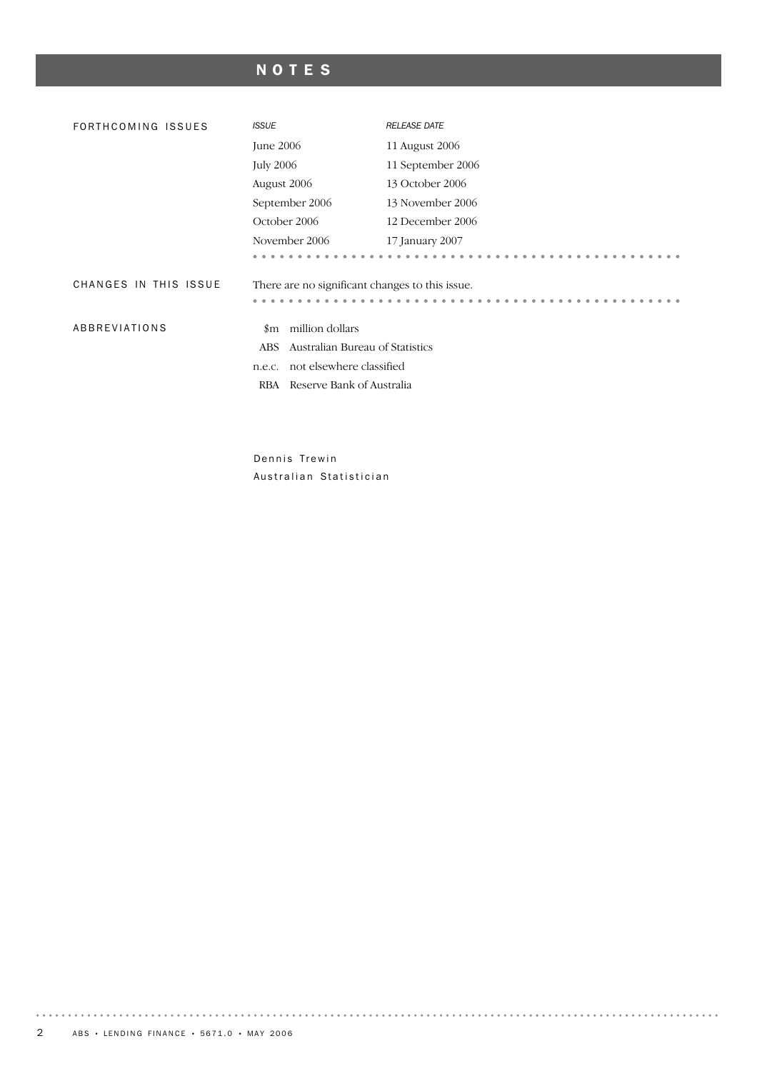## NOTES

| FORTHCOMING ISSUES    | <b>ISSUE</b>                                    | <b>RELEASE DATE</b> |  |  |  |  |
|-----------------------|-------------------------------------------------|---------------------|--|--|--|--|
|                       | June 2006                                       | 11 August 2006      |  |  |  |  |
|                       | <b>July 2006</b>                                | 11 September 2006   |  |  |  |  |
|                       | August 2006                                     | 13 October 2006     |  |  |  |  |
|                       | September 2006                                  | 13 November 2006    |  |  |  |  |
|                       | October 2006                                    | 12 December 2006    |  |  |  |  |
|                       | November 2006                                   | 17 January 2007     |  |  |  |  |
|                       |                                                 |                     |  |  |  |  |
| CHANGES IN THIS ISSUE | There are no significant changes to this issue. |                     |  |  |  |  |
|                       |                                                 |                     |  |  |  |  |
| ABBREVIATIONS         | million dollars<br>$_{\rm \$m}$                 |                     |  |  |  |  |
|                       | Australian Bureau of Statistics<br>ABS          |                     |  |  |  |  |
|                       | not elsewhere classified<br>n.e.c.              |                     |  |  |  |  |
|                       | Reserve Bank of Australia<br>RBA                |                     |  |  |  |  |
|                       |                                                 |                     |  |  |  |  |
|                       |                                                 |                     |  |  |  |  |

Dennis Trewin Australian Statistician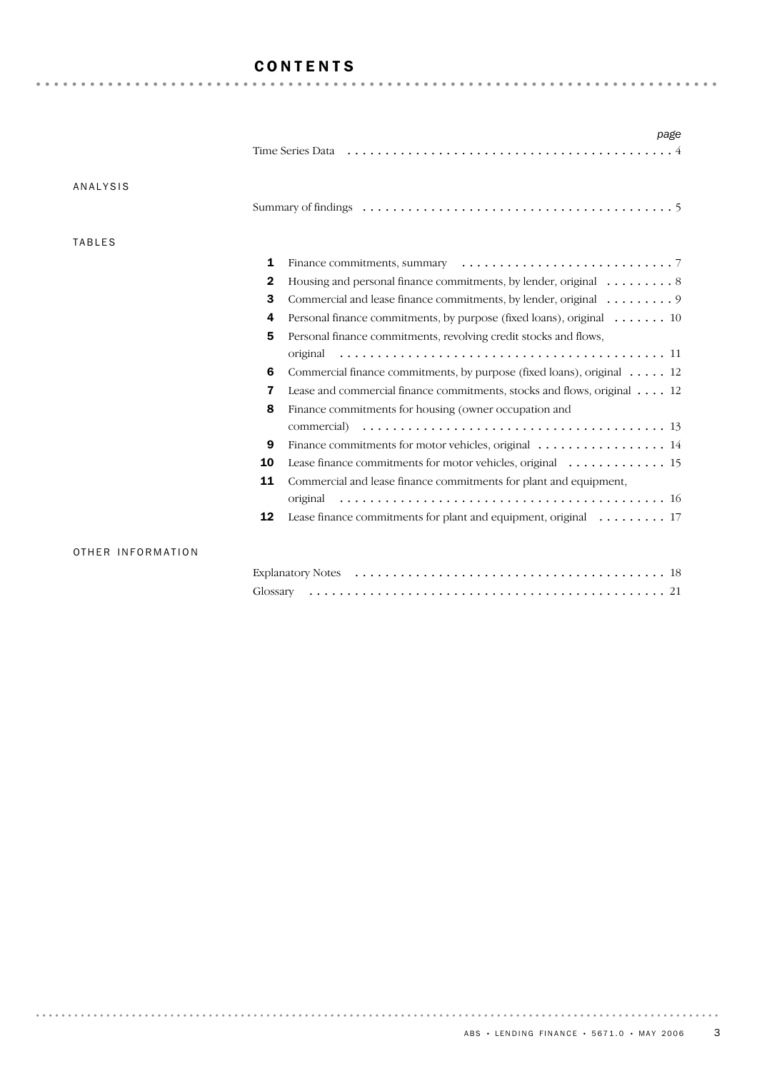## CONTENTS

|                   | page                                                                                                            |
|-------------------|-----------------------------------------------------------------------------------------------------------------|
|                   |                                                                                                                 |
|                   |                                                                                                                 |
| <b>ANALYSIS</b>   |                                                                                                                 |
|                   | Summary of findings expansion contained a state of findings expansion of findings expansion of the state of $5$ |
|                   |                                                                                                                 |
| <b>TABLES</b>     |                                                                                                                 |
|                   | 1                                                                                                               |
|                   | Housing and personal finance commitments, by lender, original $\dots \dots \dots 8$<br>2                        |
|                   | 3<br>Commercial and lease finance commitments, by lender, original 9                                            |
|                   | Personal finance commitments, by purpose (fixed loans), original 10<br>4                                        |
|                   | 5<br>Personal finance commitments, revolving credit stocks and flows,                                           |
|                   |                                                                                                                 |
|                   | Commercial finance commitments, by purpose (fixed loans), original 12<br>6                                      |
|                   | Lease and commercial finance commitments, stocks and flows, original 12<br>7                                    |
|                   | 8<br>Finance commitments for housing (owner occupation and                                                      |
|                   |                                                                                                                 |
|                   | Finance commitments for motor vehicles, original 14<br>9                                                        |
|                   | 10                                                                                                              |
|                   | 11<br>Commercial and lease finance commitments for plant and equipment,                                         |
|                   |                                                                                                                 |
|                   | Lease finance commitments for plant and equipment, original 17<br>12                                            |
|                   |                                                                                                                 |
| OTHER INFORMATION |                                                                                                                 |
|                   |                                                                                                                 |
|                   |                                                                                                                 |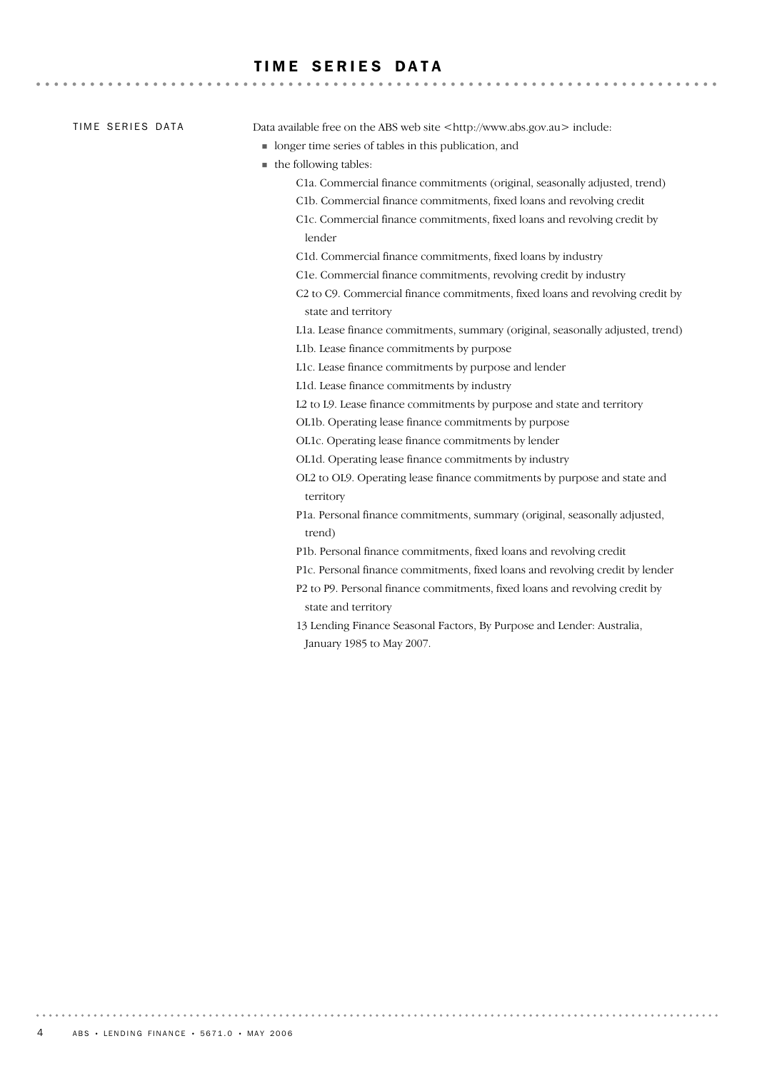## TIME SERIES DATA

| TIME SERIES DATA | Data available free on the ABS web site <http: www.abs.gov.au=""> include:</http:>                 |
|------------------|----------------------------------------------------------------------------------------------------|
|                  | • longer time series of tables in this publication, and                                            |
|                  | the following tables:                                                                              |
|                  | C1a. Commercial finance commitments (original, seasonally adjusted, trend)                         |
|                  | C1b. Commercial finance commitments, fixed loans and revolving credit                              |
|                  | C1c. Commercial finance commitments, fixed loans and revolving credit by<br>lender                 |
|                  | C1d. Commercial finance commitments, fixed loans by industry                                       |
|                  | C1e. Commercial finance commitments, revolving credit by industry                                  |
|                  | C2 to C9. Commercial finance commitments, fixed loans and revolving credit by                      |
|                  | state and territory                                                                                |
|                  | L1a. Lease finance commitments, summary (original, seasonally adjusted, trend)                     |
|                  | L1b. Lease finance commitments by purpose                                                          |
|                  | L1c. Lease finance commitments by purpose and lender                                               |
|                  | L1d. Lease finance commitments by industry                                                         |
|                  | L2 to L9. Lease finance commitments by purpose and state and territory                             |
|                  | OL1b. Operating lease finance commitments by purpose                                               |
|                  | OL1c. Operating lease finance commitments by lender                                                |
|                  | OL1d. Operating lease finance commitments by industry                                              |
|                  | OL2 to OL9. Operating lease finance commitments by purpose and state and<br>territory              |
|                  | P1a. Personal finance commitments, summary (original, seasonally adjusted,<br>trend)               |
|                  | P1b. Personal finance commitments, fixed loans and revolving credit                                |
|                  | P1c. Personal finance commitments, fixed loans and revolving credit by lender                      |
|                  | P2 to P9. Personal finance commitments, fixed loans and revolving credit by<br>state and territory |
|                  | 13 Lending Finance Seasonal Factors, By Purpose and Lender: Australia,                             |

January 1985 to May 2007.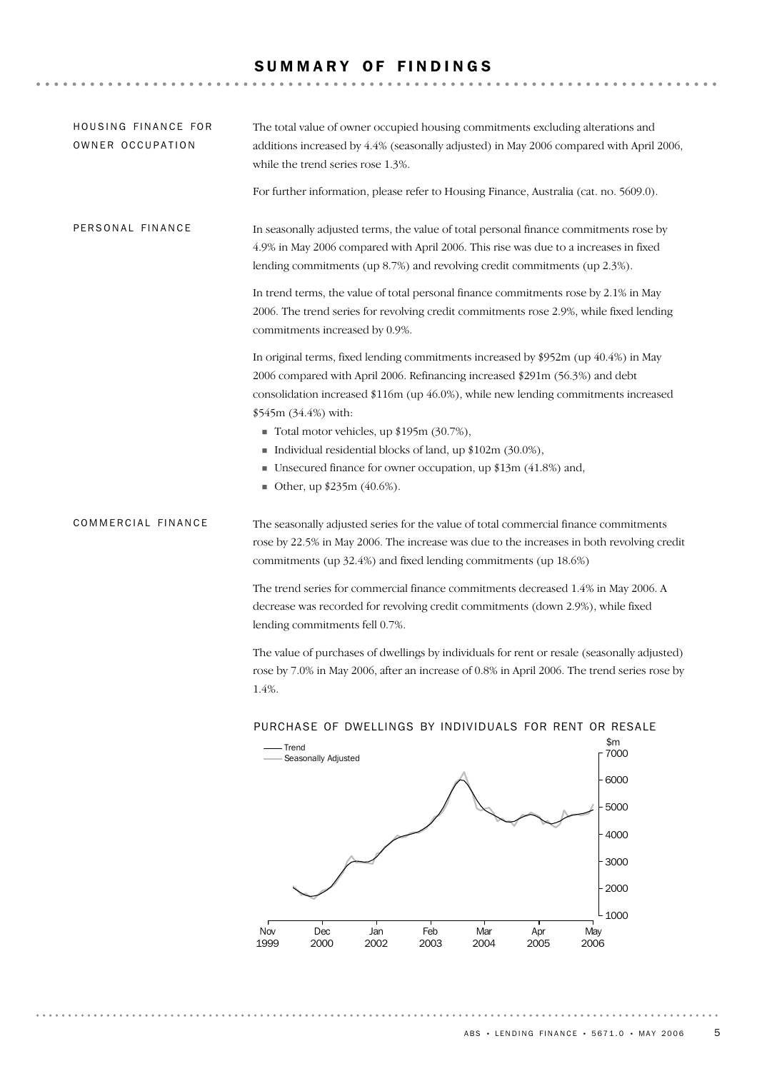## SUMMARY OF FINDINGS

. . . . . . . . . . . . . . . .

. . . . . . . . . . . . . . . . . . .

| HOUSING FINANCE FOR<br>OWNER OCCUPATION | The total value of owner occupied housing commitments excluding alterations and<br>additions increased by 4.4% (seasonally adjusted) in May 2006 compared with April 2006,<br>while the trend series rose 1.3%.<br>For further information, please refer to Housing Finance, Australia (cat. no. 5609.0).                                                 |             |
|-----------------------------------------|-----------------------------------------------------------------------------------------------------------------------------------------------------------------------------------------------------------------------------------------------------------------------------------------------------------------------------------------------------------|-------------|
| PERSONAL FINANCE                        | In seasonally adjusted terms, the value of total personal finance commitments rose by<br>4.9% in May 2006 compared with April 2006. This rise was due to a increases in fixed<br>lending commitments (up $8.7\%$ ) and revolving credit commitments (up $2.3\%$ ).<br>In trend terms, the value of total personal finance commitments rose by 2.1% in May |             |
|                                         | 2006. The trend series for revolving credit commitments rose 2.9%, while fixed lending<br>commitments increased by 0.9%.                                                                                                                                                                                                                                  |             |
|                                         | In original terms, fixed lending commitments increased by $$952m$ (up 40.4%) in May<br>2006 compared with April 2006. Refinancing increased \$291m (56.3%) and debt                                                                                                                                                                                       |             |
|                                         | consolidation increased \$116m (up 46.0%), while new lending commitments increased<br>\$545m (34.4%) with:                                                                                                                                                                                                                                                |             |
|                                         | ■ Total motor vehicles, up \$195m $(30.7\%)$ ,                                                                                                                                                                                                                                                                                                            |             |
|                                         | Individual residential blocks of land, up \$102m (30.0%),<br>■ Unsecured finance for owner occupation, up $$13m (41.8%)$ and,                                                                                                                                                                                                                             |             |
|                                         | ■ Other, up \$235m (40.6%).                                                                                                                                                                                                                                                                                                                               |             |
| COMMERCIAL FINANCE                      | The seasonally adjusted series for the value of total commercial finance commitments<br>rose by 22.5% in May 2006. The increase was due to the increases in both revolving credit<br>commitments (up 32.4%) and fixed lending commitments (up 18.6%)                                                                                                      |             |
|                                         | The trend series for commercial finance commitments decreased 1.4% in May 2006. A<br>decrease was recorded for revolving credit commitments (down 2.9%), while fixed<br>lending commitments fell 0.7%.                                                                                                                                                    |             |
|                                         | The value of purchases of dwellings by individuals for rent or resale (seasonally adjusted)<br>rose by 7.0% in May 2006, after an increase of 0.8% in April 2006. The trend series rose by<br>1.4%.                                                                                                                                                       |             |
|                                         | PURCHASE OF DWELLINGS BY INDIVIDUALS FOR RENT OR RESALE                                                                                                                                                                                                                                                                                                   |             |
|                                         | - Trend<br>-Seasonally Adjusted                                                                                                                                                                                                                                                                                                                           | \$m<br>7000 |
|                                         | $\triangle$                                                                                                                                                                                                                                                                                                                                               | 6000        |

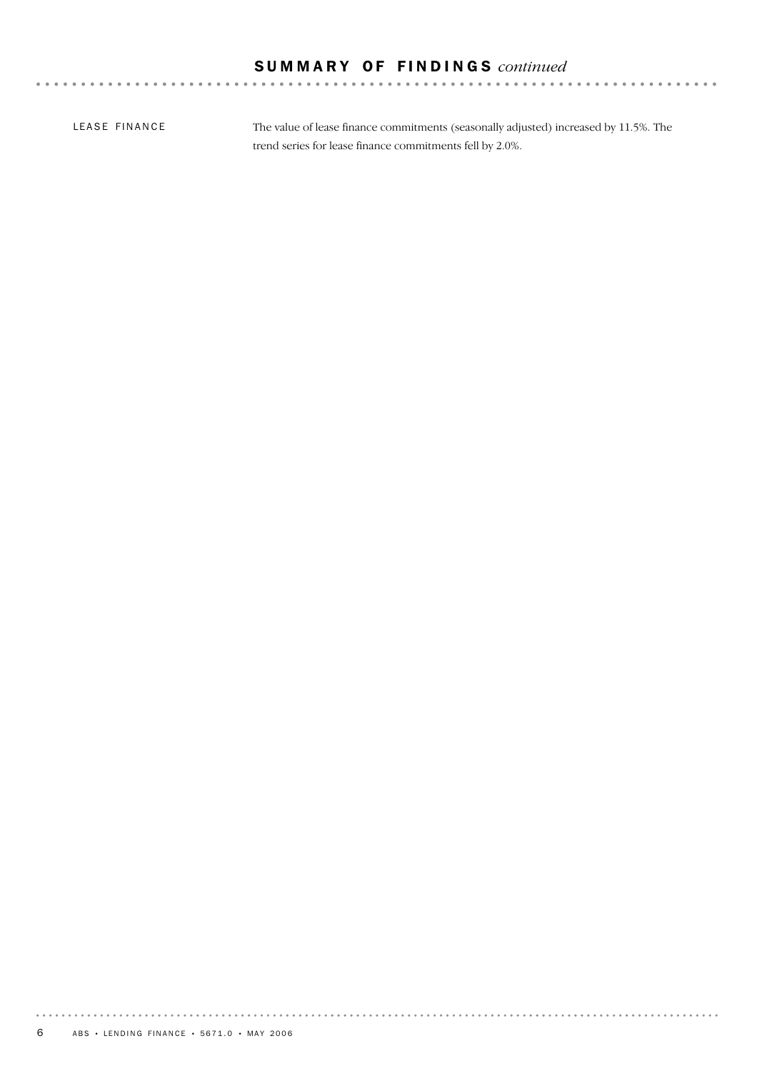## S U M M A R Y O F F I N D I N G S *continued*

LEASE FINANCE

The value of lease finance commitments (seasonally adjusted) increased by 11.5%. The trend series for lease finance commitments fell by 2.0%.

. . . . . . . . .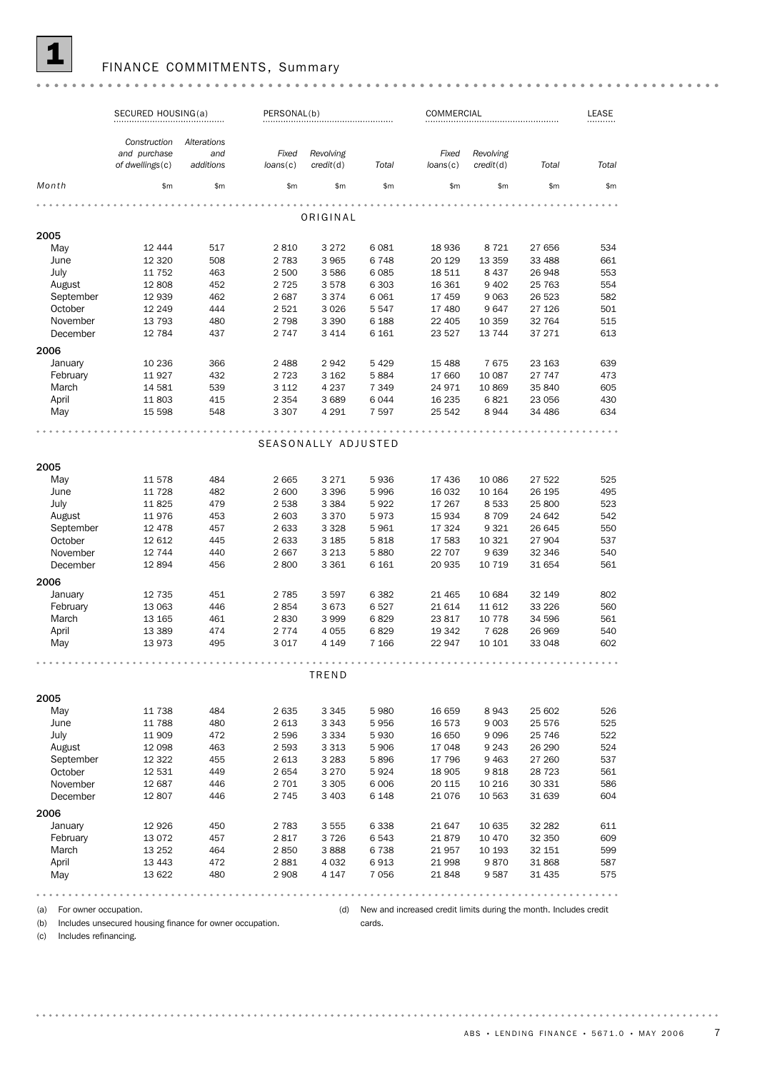

## FINANCE COMMITMENTS, Summary

|                              | SECURED HOUSING(a)                              |                                 | PERSONAL(b)       |                        |         | COMMERCIAL                                                        |                        |         |       |
|------------------------------|-------------------------------------------------|---------------------------------|-------------------|------------------------|---------|-------------------------------------------------------------------|------------------------|---------|-------|
|                              | Construction<br>and purchase<br>of dwellings(c) | Alterations<br>and<br>additions | Fixed<br>loans(c) | Revolving<br>credit(d) | Total   | Fixed<br>loans(c)                                                 | Revolving<br>credit(d) | Total   | Total |
| Month                        | \$m                                             | \$m                             | \$m               | \$m                    | \$m     | \$m                                                               | \$m                    | \$m     | \$m\$ |
|                              |                                                 |                                 |                   |                        |         |                                                                   |                        |         |       |
| 2005                         |                                                 |                                 |                   | ORIGINAL               |         |                                                                   |                        |         |       |
| May                          | 12 444                                          | 517                             | 2810              | 3 2 7 2                | 6081    | 18 936                                                            | 8 7 2 1                | 27 656  | 534   |
| June                         | 12 3 20                                         | 508                             | 2 7 8 3           | 3 9 6 5                | 6748    | 20 129                                                            | 13 359                 | 33 488  | 661   |
| July                         | 11 752                                          | 463                             | 2 500             | 3586                   | 6085    | 18 511                                                            | 8 4 3 7                | 26 948  | 553   |
| August                       | 12 808                                          | 452                             | 2 7 2 5           | 3578                   | 6 3 0 3 | 16 361                                                            | 9 4 0 2                | 25 763  | 554   |
| September                    | 12 939                                          | 462                             | 2687              | 3374                   | 6061    | 17 459                                                            | 9 0 63                 | 26 523  | 582   |
| October                      | 12 249                                          | 444                             | 2 5 2 1           | 3 0 2 6                | 5547    | 17 480                                                            | 9647                   | 27 126  | 501   |
| November                     | 13 793                                          | 480                             | 2 7 9 8           | 3 3 9 0                | 6 1 8 8 |                                                                   | 10 359                 | 32 764  | 515   |
|                              |                                                 | 437                             |                   |                        |         | 22 405                                                            |                        |         | 613   |
| December                     | 12 784                                          |                                 | 2 7 4 7           | 3 4 1 4                | 6 1 6 1 | 23 5 27                                                           | 13 7 44                | 37 271  |       |
| 2006                         |                                                 |                                 |                   |                        |         |                                                                   |                        |         |       |
| January                      | 10 236                                          | 366                             | 2 4 8 8           | 2942                   | 5 4 2 9 | 15 4 88                                                           | 7675                   | 23 163  | 639   |
| February                     | 11927                                           | 432                             | 2 7 2 3           | 3 1 6 2                | 5884    | 17 660                                                            | 10 087                 | 27 747  | 473   |
| March                        | 14 581                                          | 539                             | 3 1 1 2           | 4 2 3 7                | 7 3 4 9 | 24 971                                                            | 10869                  | 35 840  | 605   |
| April                        | 11803                                           | 415                             | 2 3 5 4           | 3689                   | 6044    | 16 235                                                            | 6821                   | 23 056  | 430   |
| May                          | 15 598                                          | 548                             | 3 3 0 7           | 4 2 9 1                | 7 5 9 7 | 25 542                                                            | 8944                   | 34 486  | 634   |
|                              |                                                 |                                 |                   | SEASONALLY ADJUSTED    |         |                                                                   |                        |         |       |
|                              |                                                 |                                 |                   |                        |         |                                                                   |                        |         |       |
| 2005                         |                                                 |                                 |                   |                        |         |                                                                   |                        |         |       |
| May                          | 11 578                                          | 484                             | 2 6 6 5           | 3 2 7 1                | 5936    | 17 436                                                            | 10 086                 | 27 522  | 525   |
| June                         | 11 728                                          | 482                             | 2 600             | 3 3 9 6                | 5996    | 16 032                                                            | 10 164                 | 26 195  | 495   |
| July                         | 11825                                           | 479                             | 2 5 3 8           | 3 3 8 4                | 5922    | 17 267                                                            | 8 5 3 3                | 25 800  | 523   |
| August                       | 11976                                           | 453                             | 2 603             | 3 3 7 0                | 5973    | 15 9 34                                                           | 8709                   | 24 642  | 542   |
| September                    | 12 478                                          | 457                             | 2 633             | 3 3 2 8                | 5961    | 17 324                                                            | 9 3 2 1                | 26 645  | 550   |
| October                      | 12 612                                          | 445                             | 2 633             | 3 1 8 5                | 5818    | 17 583                                                            | 10 321                 | 27 904  | 537   |
| November                     | 12 744                                          | 440                             | 2667              | 3 2 1 3                | 5880    | 22 707                                                            | 9639                   | 32 346  | 540   |
| December                     | 12894                                           | 456                             | 2800              | 3 3 6 1                | 6 1 6 1 | 20 935                                                            | 10 7 19                | 31 654  | 561   |
| 2006                         |                                                 |                                 |                   |                        |         |                                                                   |                        |         |       |
| January                      | 12 735                                          | 451                             | 2 7 8 5           | 3597                   | 6382    | 21 4 65                                                           | 10 684                 | 32 149  | 802   |
| February                     | 13 063                                          | 446                             | 2854              | 3673                   | 6527    | 21 614                                                            | 11 612                 | 33 2 26 | 560   |
| March                        | 13 165                                          | 461                             | 2830              | 3999                   | 6829    | 23817                                                             | 10 7 7 8               | 34 596  | 561   |
| April                        | 13 3 89                                         | 474                             | 2 7 7 4           | 4 0 5 5                | 6829    | 19 342                                                            | 7628                   | 26 969  | 540   |
| May                          | 13973                                           | 495                             | 3 0 1 7           | 4 1 4 9                | 7 1 6 6 | 22 947                                                            | 10 10 1                | 33 048  | 602   |
|                              |                                                 |                                 |                   |                        |         |                                                                   |                        |         |       |
|                              |                                                 |                                 |                   | TREND                  |         |                                                                   |                        |         |       |
| 2005                         |                                                 |                                 |                   |                        |         |                                                                   |                        |         |       |
| May                          | 11 738                                          | 484                             | 2635              | 3 3 4 5                | 5980    | 16 659                                                            | 8943                   | 25 602  | 526   |
| June                         | 11 788                                          | 480                             | 2 6 1 3           | 3 3 4 3                | 5956    | 16 573                                                            | 9 0 03                 | 25 576  | 525   |
| July                         | 11 909                                          | 472                             | 2 5 9 6           | 3 3 3 4                | 5930    | 16 650                                                            | 9096                   | 25 746  | 522   |
| August                       | 12 098                                          | 463                             | 2 5 9 3           | 3 3 1 3                | 5906    | 17 048                                                            | 9 2 4 3                | 26 290  | 524   |
| September                    | 12 3 22                                         | 455                             | 2 6 1 3           | 3 2 8 3                | 5896    | 17 796                                                            | 9 4 6 3                | 27 260  | 537   |
| October                      | 12 531                                          | 449                             | 2654              | 3 2 7 0                | 5924    | 18 905                                                            | 9818                   | 28 7 23 | 561   |
| November                     | 12 687                                          | 446                             | 2 701             | 3 3 0 5                | 6 0 0 6 | 20 115                                                            | 10 216                 | 30 331  | 586   |
| December                     | 12807                                           | 446                             | 2 7 4 5           | 3 4 0 3                | 6 1 4 8 | 21 0 76                                                           | 10 563                 | 31 639  | 604   |
| 2006                         |                                                 |                                 |                   |                        |         |                                                                   |                        |         |       |
| January                      | 12 9 26                                         | 450                             | 2 7 8 3           | 3 5 5 5                | 6338    | 21 647                                                            | 10 635                 | 32 282  | 611   |
| February                     | 13 0 72                                         | 457                             | 2817              | 3726                   | 6543    | 21879                                                             | 10 470                 | 32 350  | 609   |
| March                        | 13 25 2                                         | 464                             | 2850              | 3888                   | 6738    | 21957                                                             | 10 193                 | 32 151  | 599   |
| April                        | 13 4 43                                         | 472                             | 2881              | 4 0 3 2                | 6913    | 21 998                                                            | 9870                   | 31 868  | 587   |
| May                          | 13 622                                          | 480                             | 2 9 0 8           | 4 1 4 7                | 7056    | 21848                                                             | 9587                   | 31 4 35 | 575   |
|                              |                                                 |                                 |                   |                        |         |                                                                   |                        |         |       |
| For owner occupation.<br>(a) |                                                 |                                 |                   | (d)                    |         | New and increased credit limits during the month. Includes credit |                        |         |       |

(a) For owner occupation. (b) Includes unsecured housing finance for owner occupation.

cards.

(c) Includes refinancing.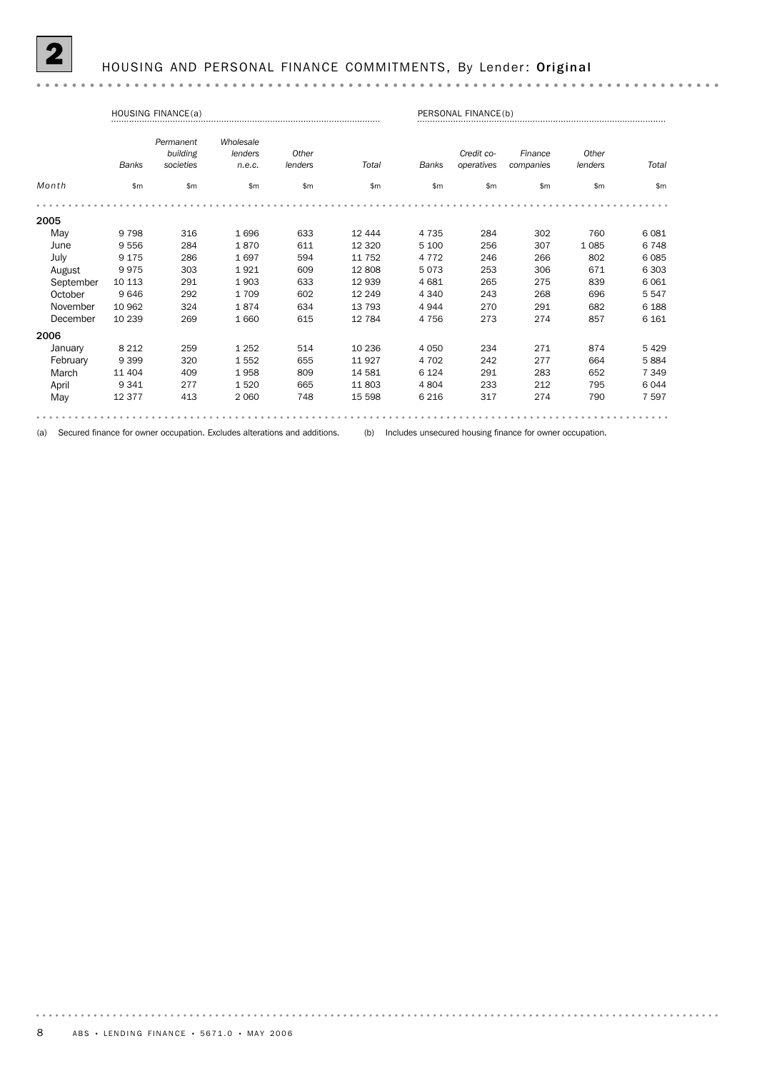## HOUSING AND PERSONAL FINANCE COMMITMENTS, By Lender: Original

#### 

| <b>HOUSING FINANCE(a)</b> |              |                                    |                                |                  |         |              | PERSONAL FINANCE(b)      |                      |                  |         |  |
|---------------------------|--------------|------------------------------------|--------------------------------|------------------|---------|--------------|--------------------------|----------------------|------------------|---------|--|
|                           | <b>Banks</b> | Permanent<br>building<br>societies | Wholesale<br>lenders<br>n.e.c. | Other<br>lenders | Total   | <b>Banks</b> | Credit co-<br>operatives | Finance<br>companies | Other<br>lenders | Total   |  |
| Month                     | \$m          | \$m\$                              | \$m\$                          | \$m\$            | \$m\$   | \$m          | \$m                      | \$m                  | \$m\$            | \$m\$   |  |
|                           |              |                                    |                                |                  |         |              |                          |                      |                  |         |  |
| 2005                      |              |                                    |                                |                  |         |              |                          |                      |                  |         |  |
| May                       | 9798         | 316                                | 1696                           | 633              | 12 444  | 4 7 3 5      | 284                      | 302                  | 760              | 6081    |  |
| June                      | 9556         | 284                                | 1870                           | 611              | 12 3 20 | 5 100        | 256                      | 307                  | 1085             | 6748    |  |
| July                      | 9 1 7 5      | 286                                | 1697                           | 594              | 11 752  | 4 7 7 2      | 246                      | 266                  | 802              | 6085    |  |
| August                    | 9975         | 303                                | 1921                           | 609              | 12 808  | 5073         | 253                      | 306                  | 671              | 6 3 0 3 |  |
| September                 | 10 113       | 291                                | 1903                           | 633              | 12 939  | 4 6 8 1      | 265                      | 275                  | 839              | 6061    |  |
| October                   | 9646         | 292                                | 1709                           | 602              | 12 249  | 4 3 4 0      | 243                      | 268                  | 696              | 5547    |  |
| November                  | 10 962       | 324                                | 1874                           | 634              | 13 793  | 4944         | 270                      | 291                  | 682              | 6 1 8 8 |  |
| December                  | 10 239       | 269                                | 1660                           | 615              | 12 784  | 4 7 5 6      | 273                      | 274                  | 857              | 6 1 6 1 |  |
| 2006                      |              |                                    |                                |                  |         |              |                          |                      |                  |         |  |
| January                   | 8 2 1 2      | 259                                | 1 2 5 2                        | 514              | 10 236  | 4 0 5 0      | 234                      | 271                  | 874              | 5 4 2 9 |  |
| February                  | 9 3 9 9      | 320                                | 1552                           | 655              | 11 927  | 4 7 0 2      | 242                      | 277                  | 664              | 5884    |  |
| March                     | 11 404       | 409                                | 1958                           | 809              | 14 581  | 6 1 2 4      | 291                      | 283                  | 652              | 7 3 4 9 |  |
| April                     | 9 3 4 1      | 277                                | 1520                           | 665              | 11 803  | 4804         | 233                      | 212                  | 795              | 6044    |  |
| May                       | 12 377       | 413                                | 2 0 6 0                        | 748              | 15 5 98 | 6 2 1 6      | 317                      | 274                  | 790              | 7 5 9 7 |  |
|                           |              |                                    |                                |                  |         |              |                          |                      |                  |         |  |

(a) Secured finance for owner occupation. Excludes alterations and additions. (b) Includes unsecured housing finance for owner occupation.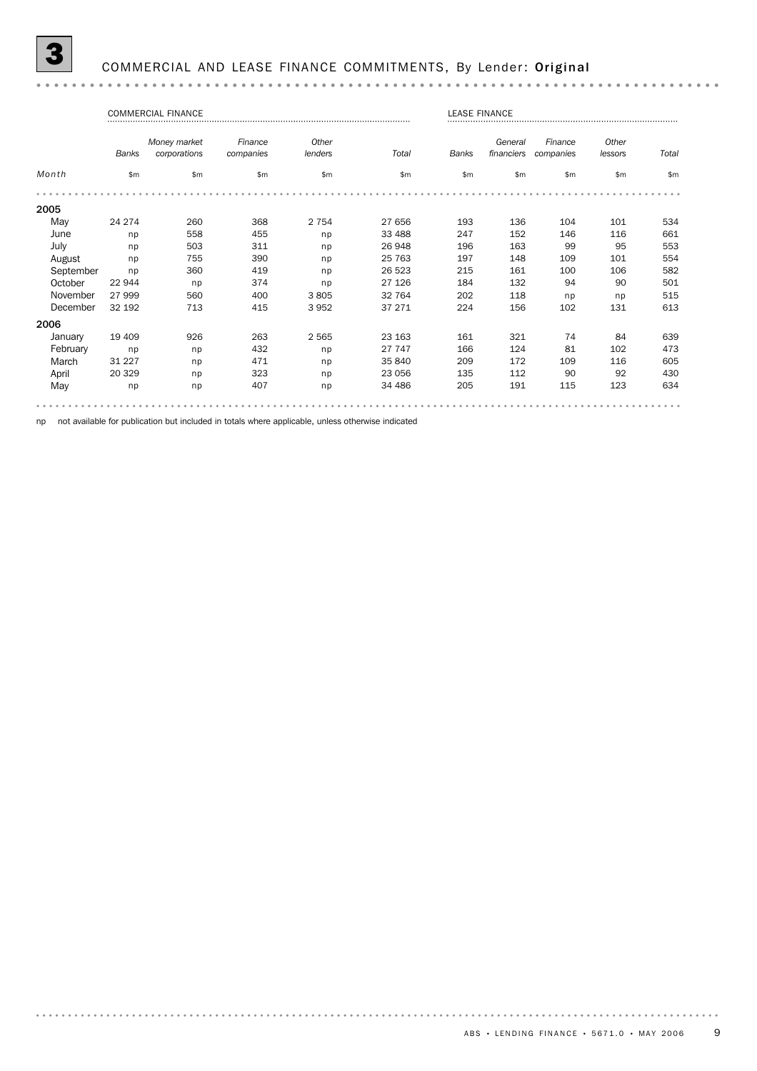## COMMERCIAL AND LEASE FINANCE COMMITMENTS, By Lender: Original

#### 

|           |              | <b>COMMERCIAL FINANCE</b> |           |         |         | <b>LEASE FINANCE</b> |            |           |         |       |
|-----------|--------------|---------------------------|-----------|---------|---------|----------------------|------------|-----------|---------|-------|
|           |              | Money market              | Finance   | Other   |         |                      | General    | Finance   | Other   |       |
|           | <b>Banks</b> | corporations              | companies | lenders | Total   | <b>Banks</b>         | financiers | companies | lessors | Total |
| Month     | \$m\$        | \$m\$                     | \$m       | \$m\$   | \$m\$   | \$m                  | \$m        | \$m\$     | \$m\$   | \$m\$ |
|           |              |                           |           |         |         |                      |            |           |         |       |
| 2005      |              |                           |           |         |         |                      |            |           |         |       |
| May       | 24 274       | 260                       | 368       | 2 7 5 4 | 27 656  | 193                  | 136        | 104       | 101     | 534   |
| June      | np           | 558                       | 455       | np      | 33 488  | 247                  | 152        | 146       | 116     | 661   |
| July      | np           | 503                       | 311       | np      | 26 948  | 196                  | 163        | 99        | 95      | 553   |
| August    | np           | 755                       | 390       | np      | 25 763  | 197                  | 148        | 109       | 101     | 554   |
| September | np           | 360                       | 419       | np      | 26 523  | 215                  | 161        | 100       | 106     | 582   |
| October   | 22 944       | np                        | 374       | np      | 27 126  | 184                  | 132        | 94        | 90      | 501   |
| November  | 27 999       | 560                       | 400       | 3805    | 32 764  | 202                  | 118        | np        | np      | 515   |
| December  | 32 192       | 713                       | 415       | 3952    | 37 271  | 224                  | 156        | 102       | 131     | 613   |
| 2006      |              |                           |           |         |         |                      |            |           |         |       |
| January   | 19 409       | 926                       | 263       | 2 5 6 5 | 23 163  | 161                  | 321        | 74        | 84      | 639   |
| February  | np           | np                        | 432       | np      | 27 747  | 166                  | 124        | 81        | 102     | 473   |
| March     | 31 227       | np                        | 471       | np      | 35 840  | 209                  | 172        | 109       | 116     | 605   |
| April     | 20 329       | np                        | 323       | np      | 23 056  | 135                  | 112        | 90        | 92      | 430   |
| May       | np           | np                        | 407       | np      | 34 4 86 | 205                  | 191        | 115       | 123     | 634   |
|           |              |                           |           |         |         |                      |            |           |         |       |

np not available for publication but included in totals where applicable, unless otherwise indicated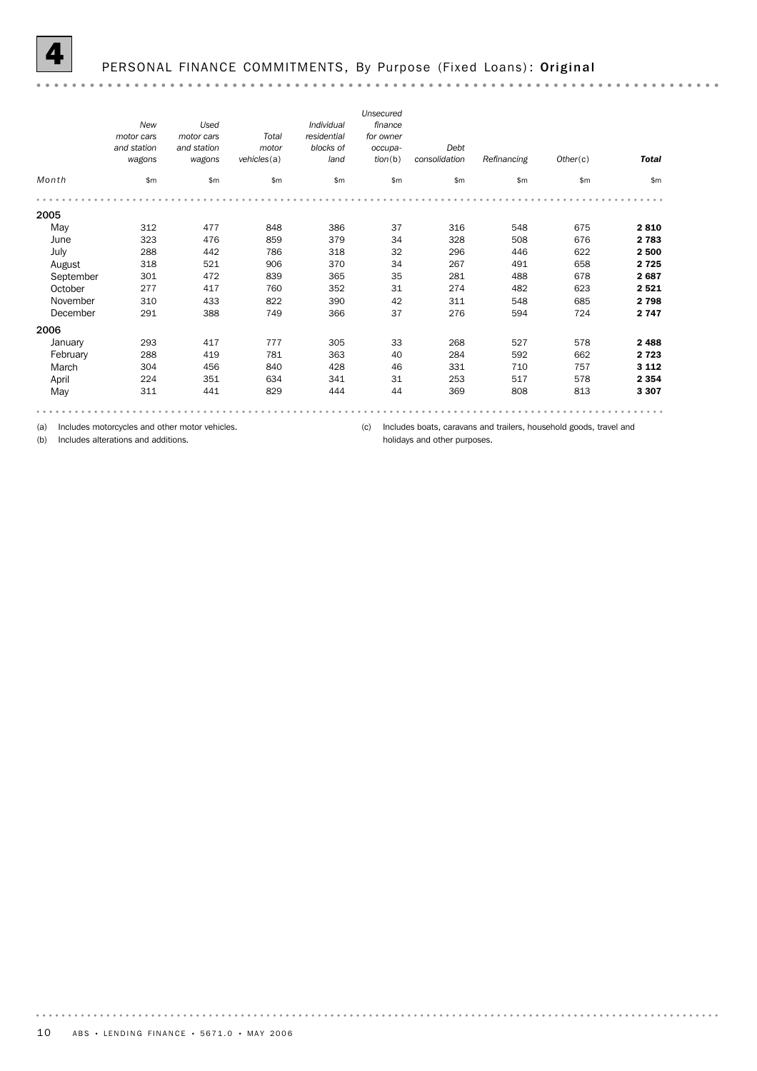

## PERSONAL FINANCE COMMITMENTS, By Purpose (Fixed Loans): Original

|           | <b>New</b><br>motor cars<br>and station<br>wagons | Used<br>motor cars<br>and station<br>wagons | Total<br>motor<br>vehicles(a) | Individual<br>residential<br>blocks of<br>land | Unsecured<br>finance<br>for owner<br>occupa-<br>tion(b) | Debt<br>consolidation | Refinancing | Other(c) | <b>Total</b> |
|-----------|---------------------------------------------------|---------------------------------------------|-------------------------------|------------------------------------------------|---------------------------------------------------------|-----------------------|-------------|----------|--------------|
| Month     | \$m                                               | \$m\$                                       | \$m\$                         | \$m\$                                          | \$m\$                                                   | \$m                   | \$m\$       | \$m      | \$m\$        |
|           |                                                   |                                             |                               |                                                |                                                         |                       |             |          |              |
| 2005      |                                                   |                                             |                               |                                                |                                                         |                       |             |          |              |
| May       | 312                                               | 477                                         | 848                           | 386                                            | 37                                                      | 316                   | 548         | 675      | 2810         |
| June      | 323                                               | 476                                         | 859                           | 379                                            | 34                                                      | 328                   | 508         | 676      | 2 7 8 3      |
| July      | 288                                               | 442                                         | 786                           | 318                                            | 32                                                      | 296                   | 446         | 622      | 2 500        |
| August    | 318                                               | 521                                         | 906                           | 370                                            | 34                                                      | 267                   | 491         | 658      | 2 7 2 5      |
| September | 301                                               | 472                                         | 839                           | 365                                            | 35                                                      | 281                   | 488         | 678      | 2687         |
| October   | 277                                               | 417                                         | 760                           | 352                                            | 31                                                      | 274                   | 482         | 623      | 2521         |
| November  | 310                                               | 433                                         | 822                           | 390                                            | 42                                                      | 311                   | 548         | 685      | 2798         |
| December  | 291                                               | 388                                         | 749                           | 366                                            | 37                                                      | 276                   | 594         | 724      | 2 7 4 7      |
| 2006      |                                                   |                                             |                               |                                                |                                                         |                       |             |          |              |
| January   | 293                                               | 417                                         | 777                           | 305                                            | 33                                                      | 268                   | 527         | 578      | 2488         |
| February  | 288                                               | 419                                         | 781                           | 363                                            | 40                                                      | 284                   | 592         | 662      | 2 7 2 3      |
| March     | 304                                               | 456                                         | 840                           | 428                                            | 46                                                      | 331                   | 710         | 757      | 3 1 1 2      |
| April     | 224                                               | 351                                         | 634                           | 341                                            | 31                                                      | 253                   | 517         | 578      | 2 3 5 4      |
| May       | 311                                               | 441                                         | 829                           | 444                                            | 44                                                      | 369                   | 808         | 813      | 3 3 0 7      |

(a) Includes motorcycles and other motor vehicles.

(b) Includes alterations and additions.

(c) Includes boats, caravans and trailers, household goods, travel and holidays and other purposes.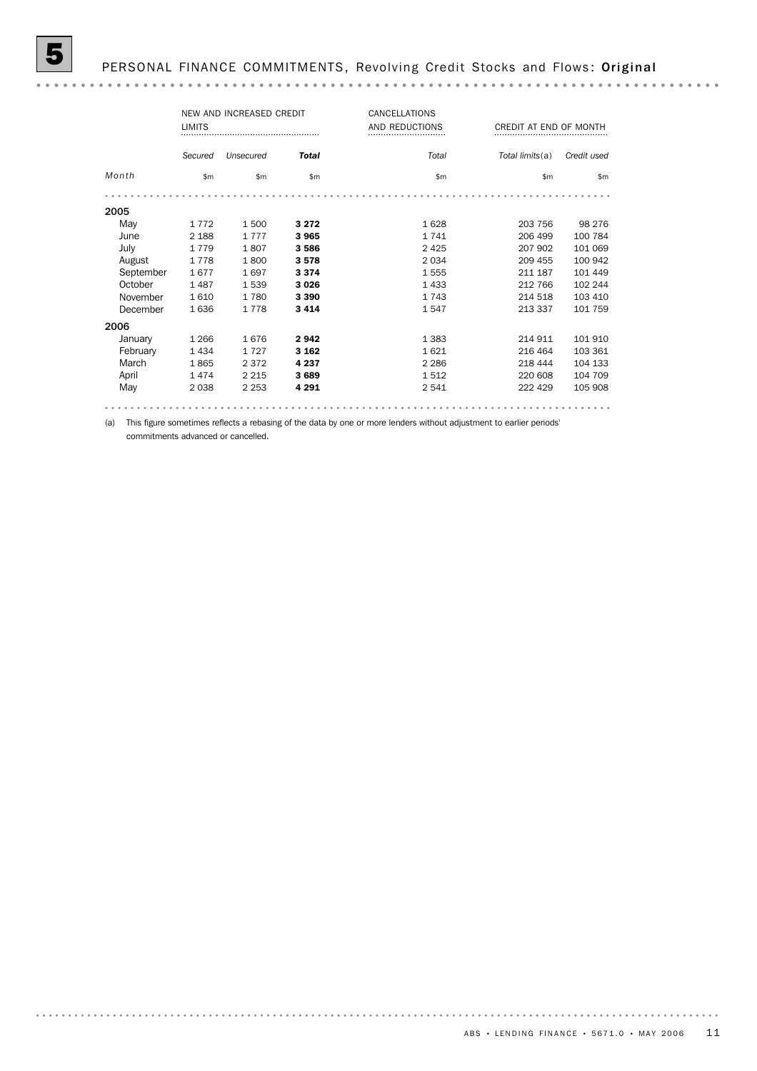|           | NEW AND INCREASED CREDIT<br><b>LIMITS</b> |           | CANCELLATIONS<br>AND REDUCTIONS<br> | CREDIT AT END OF MONTH<br> |                 |               |
|-----------|-------------------------------------------|-----------|-------------------------------------|----------------------------|-----------------|---------------|
|           | Secured                                   | Unsecured | <b>Total</b>                        | Total                      | Total limits(a) | Credit used   |
| Month     | $\mathsf{Sm}$                             | \$m       | $\mathsf{Sm}$                       | $\mathsf{Sm}$              | \$m             | $\mathsf{Sm}$ |
|           |                                           |           |                                     |                            |                 |               |
| 2005      |                                           |           |                                     |                            |                 |               |
| May       | 1 7 7 2                                   | 1 500     | 3 2 7 2                             | 1628                       | 203 756         | 98 276        |
| June      | 2 1 8 8                                   | 1 7 7 7   | 3965                                | 1 7 4 1                    | 206 499         | 100 784       |
| July      | 1 7 7 9                                   | 1807      | 3586                                | 2425                       | 207 902         | 101 069       |
| August    | 1778                                      | 1800      | 3578                                | 2034                       | 209 455         | 100 942       |
| September | 1677                                      | 1697      | 3 3 7 4                             | 1555                       | 211 187         | 101 449       |
| October   | 1487                                      | 1539      | 3026                                | 1433                       | 212 766         | 102 244       |
| November  | 1610                                      | 1780      | 3 3 9 0                             | 1 7 4 3                    | 214 518         | 103 410       |
| December  | 1636                                      | 1778      | 3414                                | 1547                       | 213 337         | 101 759       |
| 2006      |                                           |           |                                     |                            |                 |               |
| January   | 1 2 6 6                                   | 1676      | 2942                                | 1 3 8 3                    | 214 911         | 101 910       |
| February  | 1434                                      | 1727      | 3 1 6 2                             | 1621                       | 216 464         | 103 361       |
| March     | 1865                                      | 2 3 7 2   | 4 2 3 7                             | 2 2 8 6                    | 218 444         | 104 133       |
| April     | 1474                                      | 2 2 1 5   | 3689                                | 1512                       | 220 608         | 104 709       |
| May       | 2038                                      | 2 2 5 3   | 4 2 9 1                             | 2 5 4 1                    | 222 429         | 105 908       |
|           |                                           |           |                                     |                            |                 |               |

(a) This figure sometimes reflects a rebasing of the data by one or more lenders without adjustment to earlier periods' commitments advanced or cancelled.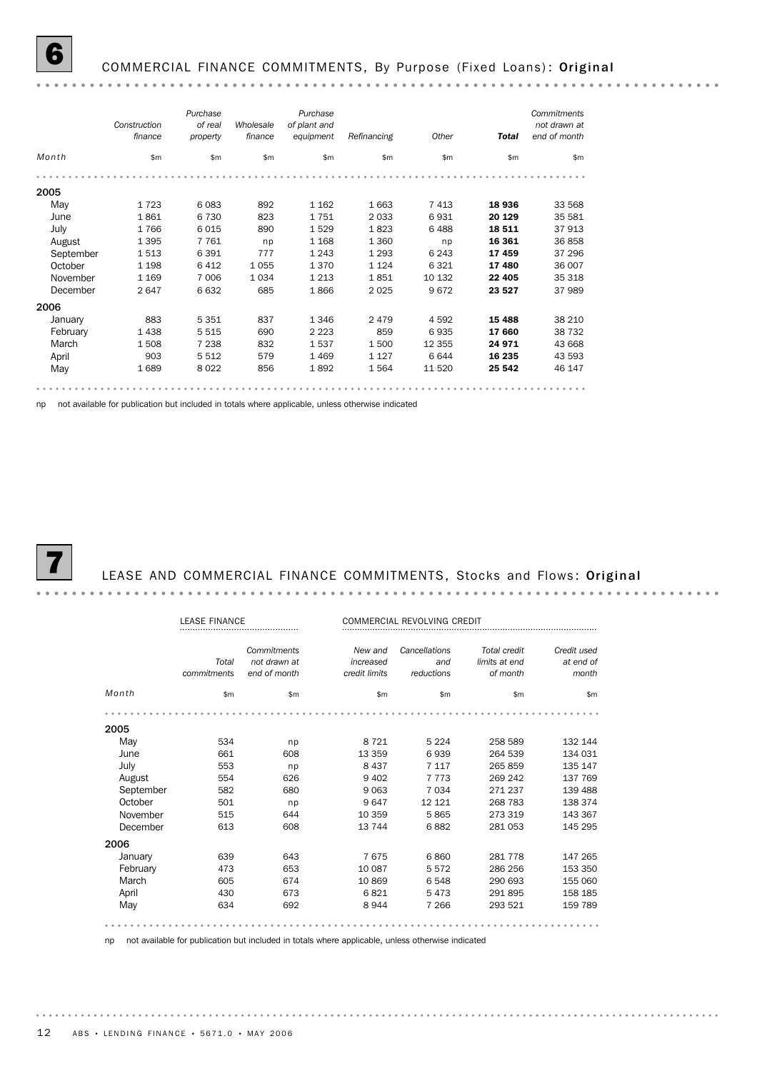

## COMMERCIAL FINANCE COMMITMENTS, By Purpose (Fixed Loans): Original

|           | Construction<br>finance | Purchase<br>of real<br>property | Wholesale<br>finance | Purchase<br>of plant and<br>equipment | Refinancing | Other   | <b>Total</b> | Commitments<br>not drawn at<br>end of month |
|-----------|-------------------------|---------------------------------|----------------------|---------------------------------------|-------------|---------|--------------|---------------------------------------------|
| Month     | \$m                     | \$m\$                           | \$m                  | \$m                                   | \$m         | \$m     | \$m          | \$m                                         |
|           |                         |                                 |                      |                                       |             |         |              |                                             |
| 2005      |                         |                                 |                      |                                       |             |         |              |                                             |
| May       | 1723                    | 6083                            | 892                  | 1 1 6 2                               | 1 6 6 3     | 7 4 1 3 | 18936        | 33 568                                      |
| June      | 1861                    | 6 7 3 0                         | 823                  | 1751                                  | 2 0 3 3     | 6931    | 20 129       | 35 581                                      |
| July      | 1766                    | 6015                            | 890                  | 1529                                  | 1823        | 6488    | 18511        | 37913                                       |
| August    | 1 3 9 5                 | 7761                            | np                   | 1 1 6 8                               | 1 3 6 0     | np      | 16 361       | 36858                                       |
| September | 1513                    | 6 3 9 1                         | 777                  | 1 2 4 3                               | 1 2 9 3     | 6 2 4 3 | 17459        | 37 29 6                                     |
| October   | 1 1 9 8                 | 6412                            | 1 0 5 5              | 1 3 7 0                               | 1 1 2 4     | 6 3 2 1 | 17480        | 36 007                                      |
| November  | 1 1 6 9                 | 7 0 0 6                         | 1 0 3 4              | 1 2 1 3                               | 1851        | 10 132  | 22 4 05      | 35 318                                      |
| December  | 2647                    | 6632                            | 685                  | 1866                                  | 2 0 2 5     | 9672    | 23 5 27      | 37989                                       |
| 2006      |                         |                                 |                      |                                       |             |         |              |                                             |
| January   | 883                     | 5 3 5 1                         | 837                  | 1 3 4 6                               | 2 4 7 9     | 4 5 9 2 | 15 4 88      | 38 210                                      |
| February  | 1438                    | 5 5 1 5                         | 690                  | 2 2 2 3                               | 859         | 6935    | 17 660       | 38 7 32                                     |
| March     | 1508                    | 7 2 3 8                         | 832                  | 1537                                  | 1500        | 12 355  | 24 971       | 43 668                                      |
| April     | 903                     | 5 5 1 2                         | 579                  | 1 4 6 9                               | 1 1 2 7     | 6 6 4 4 | 16 235       | 43 593                                      |
| May       | 1689                    | 8 0 2 2                         | 856                  | 1892                                  | 1564        | 11 520  | 25 542       | 46 147                                      |

np not available for publication but included in totals where applicable, unless otherwise indicated



#### LEASE AND COMMERCIAL FINANCE COMMITMENTS, Stocks and Flows: Original

|           | <b><i>IFASE FINANCE</i></b> |                                             | COMMERCIAL REVOLVING CREDIT           |                                    |                                                  |                                   |
|-----------|-----------------------------|---------------------------------------------|---------------------------------------|------------------------------------|--------------------------------------------------|-----------------------------------|
|           | Total<br>commitments        | Commitments<br>not drawn at<br>end of month | New and<br>increased<br>credit limits | Cancellations<br>and<br>reductions | <b>Total credit</b><br>limits at end<br>of month | Credit used<br>at end of<br>month |
| Month     | \$m                         | \$m                                         | \$m                                   | \$m\$                              | \$m                                              | \$m                               |
|           |                             |                                             |                                       |                                    |                                                  |                                   |
| 2005      |                             |                                             |                                       |                                    |                                                  |                                   |
| May       | 534                         | np                                          | 8 7 2 1                               | 5 2 2 4                            | 258 589                                          | 132 144                           |
| June      | 661                         | 608                                         | 13 359                                | 6939                               | 264 539                                          | 134 031                           |
| July      | 553                         | np                                          | 8 4 3 7                               | 7 1 1 7                            | 265 859                                          | 135 147                           |
| August    | 554                         | 626                                         | 9 4 0 2                               | 7 7 7 3                            | 269 242                                          | 137 769                           |
| September | 582                         | 680                                         | 9 0 63                                | 7 0 3 4                            | 271 237                                          | 139 488                           |
| October   | 501                         | np                                          | 9647                                  | 12 1 21                            | 268 783                                          | 138 374                           |
| November  | 515                         | 644                                         | 10 359                                | 5865                               | 273 319                                          | 143 367                           |
| December  | 613                         | 608                                         | 13744                                 | 6882                               | 281 053                                          | 145 295                           |
| 2006      |                             |                                             |                                       |                                    |                                                  |                                   |
| January   | 639                         | 643                                         | 7675                                  | 6860                               | 281 778                                          | 147 265                           |
| February  | 473                         | 653                                         | 10 087                                | 5572                               | 286 256                                          | 153 350                           |
| March     | 605                         | 674                                         | 10869                                 | 6548                               | 290 693                                          | 155 060                           |
| April     | 430                         | 673                                         | 6821                                  | 5473                               | 291895                                           | 158 185                           |
| May       | 634                         | 692                                         | 8944                                  | 7 2 6 6                            | 293 521                                          | 159 789                           |
|           |                             |                                             |                                       |                                    |                                                  |                                   |

np not available for publication but included in totals where applicable, unless otherwise indicated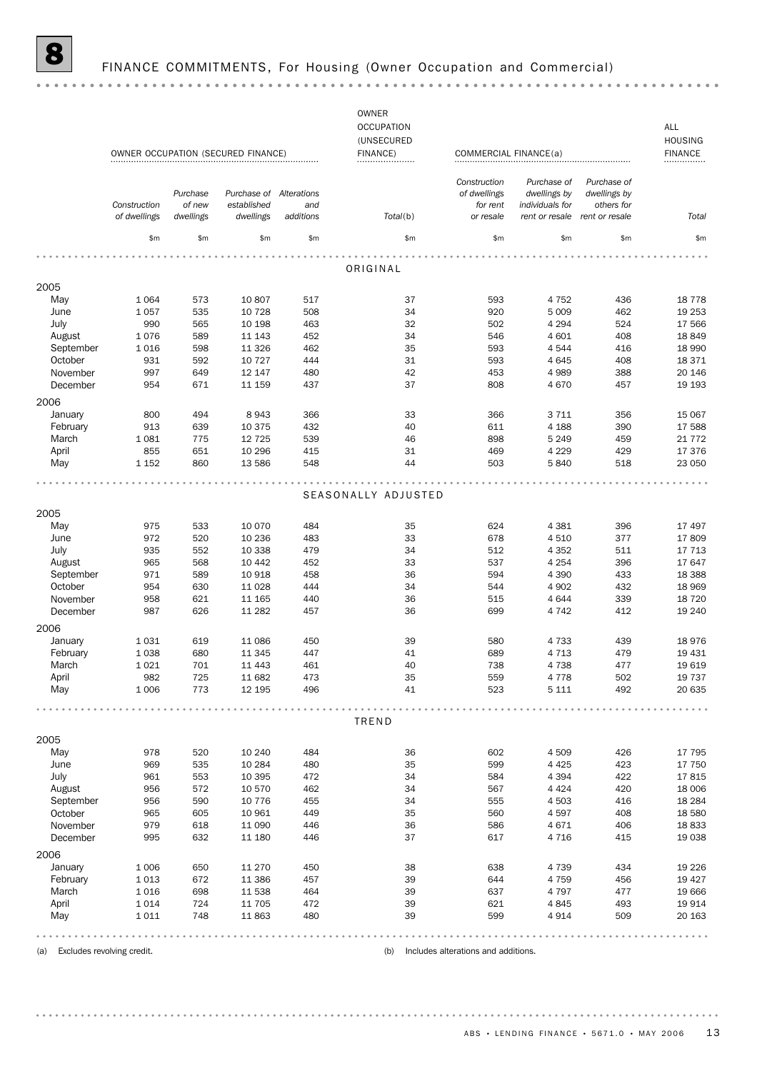|                                |                              |                                 | OWNER OCCUPATION (SECURED FINANCE)                  |                  | <b>OWNER</b><br><b>OCCUPATION</b><br>(UNSECURED<br>FINANCE) | COMMERCIAL FINANCE(a)                                 |                                                                  |                                                             | ALL<br><b>HOUSING</b><br><b>FINANCE</b><br>. |
|--------------------------------|------------------------------|---------------------------------|-----------------------------------------------------|------------------|-------------------------------------------------------------|-------------------------------------------------------|------------------------------------------------------------------|-------------------------------------------------------------|----------------------------------------------|
|                                | Construction<br>of dwellings | Purchase<br>of new<br>dwellings | Purchase of Alterations<br>established<br>dwellings | and<br>additions | Total(b)                                                    | Construction<br>of dwellings<br>for rent<br>or resale | Purchase of<br>dwellings by<br>individuals for<br>rent or resale | Purchase of<br>dwellings by<br>others for<br>rent or resale | Total                                        |
|                                | \$m                          | \$m                             | \$m\$                                               | \$m              | \$m\$                                                       | \$m                                                   | \$m                                                              | \$m                                                         | \$m                                          |
|                                |                              |                                 |                                                     |                  |                                                             |                                                       |                                                                  |                                                             |                                              |
|                                |                              |                                 |                                                     |                  | ORIGINAL                                                    |                                                       |                                                                  |                                                             |                                              |
| 2005                           |                              |                                 |                                                     |                  |                                                             |                                                       |                                                                  |                                                             |                                              |
| May                            | 1 0 6 4                      | 573                             | 10 807                                              | 517              | 37                                                          | 593                                                   | 4 7 5 2                                                          | 436                                                         | 18 7 78                                      |
| June<br>July                   | 1057<br>990                  | 535<br>565                      | 10 7 28<br>10 198                                   | 508<br>463       | 34<br>32                                                    | 920<br>502                                            | 5 0 0 9<br>4 2 9 4                                               | 462<br>524                                                  | 19 253<br>17 566                             |
| August                         | 1076                         | 589                             | 11 143                                              | 452              | 34                                                          | 546                                                   | 4 601                                                            | 408                                                         | 18849                                        |
| September                      | 1016                         | 598                             | 11 3 26                                             | 462              | 35                                                          | 593                                                   | 4544                                                             | 416                                                         | 18 990                                       |
| October                        | 931                          | 592                             | 10 7 27                                             | 444              | 31                                                          | 593                                                   | 4645                                                             | 408                                                         | 18 371                                       |
| November                       | 997                          | 649                             | 12 147                                              | 480              | 42                                                          | 453                                                   | 4989                                                             | 388                                                         | 20 146                                       |
| December                       | 954                          | 671                             | 11 159                                              | 437              | 37                                                          | 808                                                   | 4670                                                             | 457                                                         | 19 1 93                                      |
| 2006                           |                              |                                 |                                                     |                  |                                                             |                                                       |                                                                  |                                                             |                                              |
|                                | 800                          | 494                             | 8943                                                | 366              | 33                                                          | 366                                                   | 3 7 1 1                                                          | 356                                                         | 15 067                                       |
| January<br>February            | 913                          | 639                             | 10 375                                              | 432              | 40                                                          | 611                                                   | 4 1 8 8                                                          | 390                                                         | 17 588                                       |
| March                          | 1 0 8 1                      | 775                             | 12 7 25                                             | 539              | 46                                                          | 898                                                   | 5 2 4 9                                                          | 459                                                         | 21 7 7 2                                     |
| April                          | 855                          | 651                             | 10 29 6                                             | 415              | 31                                                          | 469                                                   | 4 2 2 9                                                          | 429                                                         | 17 376                                       |
| May                            | 1 1 5 2                      | 860                             | 13 586                                              | 548              | 44                                                          | 503                                                   | 5840                                                             | 518                                                         | 23 050                                       |
|                                |                              |                                 |                                                     |                  |                                                             |                                                       |                                                                  |                                                             |                                              |
|                                |                              |                                 |                                                     |                  | SEASONALLY ADJUSTED                                         |                                                       |                                                                  |                                                             |                                              |
| 2005                           |                              |                                 |                                                     |                  |                                                             |                                                       |                                                                  |                                                             |                                              |
| May                            | 975                          | 533                             | 10 0 70                                             | 484              | 35                                                          | 624                                                   | 4 3 8 1                                                          | 396                                                         | 17 497                                       |
| June                           | 972                          | 520                             | 10 236                                              | 483              | 33                                                          | 678                                                   | 4510                                                             | 377                                                         | 17809                                        |
| July                           | 935                          | 552                             | 10 338                                              | 479              | 34                                                          | 512                                                   | 4 3 5 2                                                          | 511                                                         | 17 713                                       |
| August                         | 965                          | 568                             | 10 4 42                                             | 452              | 33                                                          | 537                                                   | 4 2 5 4                                                          | 396                                                         | 17 647                                       |
| September                      | 971                          | 589                             | 10 918                                              | 458              | 36                                                          | 594                                                   | 4 3 9 0                                                          | 433                                                         | 18 3 8 8                                     |
| October                        | 954                          | 630                             | 11 0 28                                             | 444              | 34                                                          | 544                                                   | 4 9 0 2                                                          | 432                                                         | 18 9 69                                      |
| November                       | 958                          | 621                             | 11 165                                              | 440              | 36                                                          | 515                                                   | 4644                                                             | 339                                                         | 18 7 20                                      |
| December                       | 987                          | 626                             | 11 282                                              | 457              | 36                                                          | 699                                                   | 4 7 4 2                                                          | 412                                                         | 19 240                                       |
| 2006                           |                              |                                 |                                                     |                  |                                                             |                                                       |                                                                  |                                                             |                                              |
| January                        | 1031                         | 619                             | 11 086                                              | 450              | 39                                                          | 580                                                   | 4 733                                                            | 439                                                         | 18976                                        |
| February                       | 1038                         | 680                             | 11 3 45                                             | 447              | 41                                                          | 689                                                   | 4713                                                             | 479                                                         | 19 4 31                                      |
| March                          | 1 0 2 1                      | 701                             | 11 4 43                                             | 461              | 40                                                          | 738                                                   | 4738                                                             | 477                                                         | 19 619                                       |
| April                          | 982                          | 725                             | 11 682                                              | 473              | 35                                                          | 559                                                   | 4778                                                             | 502                                                         | 19 7 37                                      |
| May                            | 1 0 0 6                      | 773                             | 12 195                                              | 496              | 41                                                          | 523                                                   | 5 1 1 1                                                          | 492                                                         | 20 635                                       |
|                                |                              |                                 |                                                     |                  | TREND                                                       |                                                       |                                                                  |                                                             |                                              |
|                                |                              |                                 |                                                     |                  |                                                             |                                                       |                                                                  |                                                             |                                              |
| 2005                           |                              |                                 |                                                     |                  |                                                             |                                                       |                                                                  |                                                             |                                              |
| May                            | 978<br>969                   | 520<br>535                      | 10 240<br>10 284                                    | 484<br>480       | 36<br>35                                                    | 602<br>599                                            | 4 5 0 9<br>4 4 2 5                                               | 426<br>423                                                  | 17 795<br>17 750                             |
| June<br>July                   | 961                          | 553                             | 10 3 95                                             | 472              | 34                                                          | 584                                                   | 4 3 9 4                                                          | 422                                                         | 17815                                        |
| August                         | 956                          | 572                             | 10 570                                              | 462              | 34                                                          | 567                                                   | 4 4 2 4                                                          | 420                                                         | 18 006                                       |
| September                      | 956                          | 590                             | 10 7 7 6                                            | 455              | 34                                                          | 555                                                   | 4 5 0 3                                                          | 416                                                         | 18 2 84                                      |
| October                        | 965                          | 605                             | 10 961                                              | 449              | 35                                                          | 560                                                   | 4597                                                             | 408                                                         | 18 5 80                                      |
| November                       | 979                          | 618                             | 11 090                                              | 446              | 36                                                          | 586                                                   | 4671                                                             | 406                                                         | 18833                                        |
| December                       | 995                          | 632                             | 11 180                                              | 446              | 37                                                          | 617                                                   | 4 7 1 6                                                          | 415                                                         | 19 0 38                                      |
| 2006                           |                              |                                 |                                                     |                  |                                                             |                                                       |                                                                  |                                                             |                                              |
| January                        | 1 0 0 6                      | 650                             | 11 270                                              | 450              | 38                                                          | 638                                                   | 4 7 3 9                                                          | 434                                                         | 19 2 26                                      |
| February                       | 1013                         | 672                             | 11 386                                              | 457              | 39                                                          | 644                                                   | 4 7 5 9                                                          | 456                                                         | 19 4 27                                      |
| March                          | 1016                         | 698                             | 11 538                                              | 464              | 39                                                          | 637                                                   | 4 7 9 7                                                          | 477                                                         | 19 6 66                                      |
| April                          | 1014                         | 724                             | 11 705                                              | 472              | 39                                                          | 621                                                   | 4845                                                             | 493                                                         | 19 9 14                                      |
| May                            | 1011                         | 748                             | 11863                                               | 480              | 39                                                          | 599                                                   | 4914                                                             | 509                                                         | 20 163                                       |
|                                |                              |                                 |                                                     |                  |                                                             |                                                       |                                                                  |                                                             |                                              |
| (a) Excludes revolving credit. |                              |                                 |                                                     |                  | (b)                                                         | Includes alterations and additions.                   |                                                                  |                                                             |                                              |

ABS • LENDING FINANCE • 5671.0 • MAY 2006 13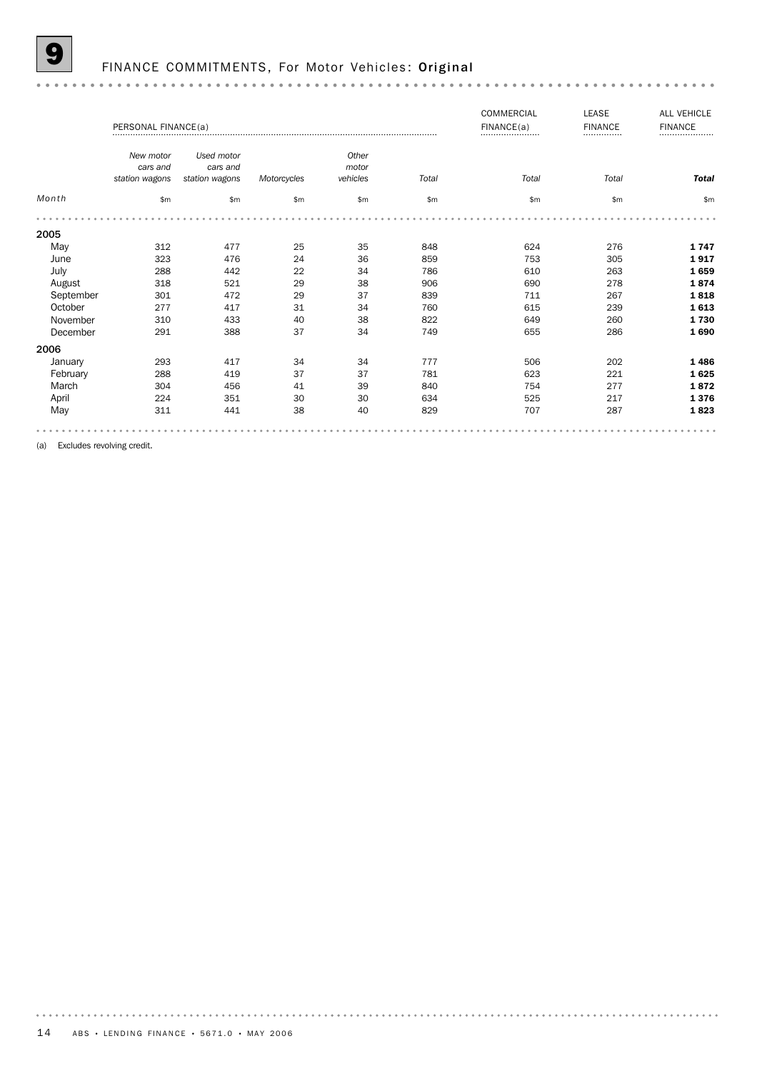FINANCE COMMITMENTS, For Motor Vehicles: Original

|           | PERSONAL FINANCE(a) |                |             |              |       | COMMERCIAL<br>FINANCE(a)<br> | <b>LEASE</b><br><b>FINANCE</b><br> | <b>ALL VEHICLE</b><br><b>FINANCE</b><br> |
|-----------|---------------------|----------------|-------------|--------------|-------|------------------------------|------------------------------------|------------------------------------------|
|           | New motor           | Used motor     |             | Other        |       |                              |                                    |                                          |
|           | cars and            | cars and       |             | motor        |       |                              |                                    |                                          |
|           | station wagons      | station wagons | Motorcycles | vehicles     | Total | Total                        | Total                              | <b>Total</b>                             |
| Month     | \$m                 | $\mathsf{m}$   | \$m\$       | $\mathsf{m}$ | \$m\$ | \$m                          | \$m\$                              | \$m                                      |
|           |                     |                |             |              |       |                              |                                    |                                          |
| 2005      |                     |                |             |              |       |                              |                                    |                                          |
| May       | 312                 | 477            | 25          | 35           | 848   | 624                          | 276                                | 1747                                     |
| June      | 323                 | 476            | 24          | 36           | 859   | 753                          | 305                                | 1917                                     |
| July      | 288                 | 442            | 22          | 34           | 786   | 610                          | 263                                | 1659                                     |
| August    | 318                 | 521            | 29          | 38           | 906   | 690                          | 278                                | 1874                                     |
| September | 301                 | 472            | 29          | 37           | 839   | 711                          | 267                                | 1818                                     |
| October   | 277                 | 417            | 31          | 34           | 760   | 615                          | 239                                | 1613                                     |
| November  | 310                 | 433            | 40          | 38           | 822   | 649                          | 260                                | 1730                                     |
| December  | 291                 | 388            | 37          | 34           | 749   | 655                          | 286                                | 1690                                     |
| 2006      |                     |                |             |              |       |                              |                                    |                                          |
| January   | 293                 | 417            | 34          | 34           | 777   | 506                          | 202                                | 1486                                     |
| February  | 288                 | 419            | 37          | 37           | 781   | 623                          | 221                                | 1625                                     |
| March     | 304                 | 456            | 41          | 39           | 840   | 754                          | 277                                | 1872                                     |
| April     | 224                 | 351            | 30          | 30           | 634   | 525                          | 217                                | 1376                                     |
| May       | 311                 | 441            | 38          | 40           | 829   | 707                          | 287                                | 1823                                     |
|           |                     |                |             |              |       |                              |                                    |                                          |

(a) Excludes revolving credit.

 $\alpha$  .  $\alpha$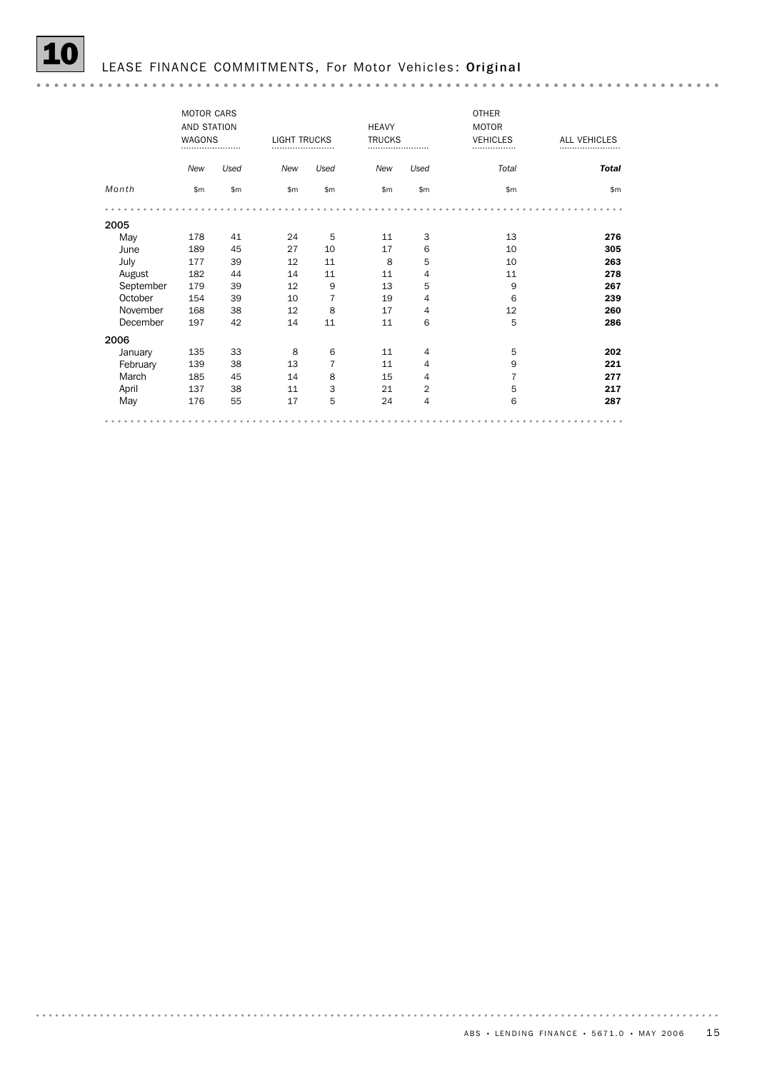|           | <b>MOTOR CARS</b><br>AND STATION<br><b>WAGONS</b><br> |       |            | <b>HEAVY</b><br><b>TRUCKS</b><br><b>LIGHT TRUCKS</b><br> |     | <b>OTHER</b><br><b>MOTOR</b><br><b>VEHICLES</b><br> | ALL VEHICLES   |              |
|-----------|-------------------------------------------------------|-------|------------|----------------------------------------------------------|-----|-----------------------------------------------------|----------------|--------------|
|           | New                                                   | Used  | <b>New</b> | Used                                                     | New | Used                                                | Total          | <b>Total</b> |
| Month     | \$m                                                   | \$m\$ | \$m        | \$m                                                      | \$m | \$m                                                 | \$m            | \$m          |
|           |                                                       |       |            |                                                          |     |                                                     |                |              |
| 2005      |                                                       |       |            |                                                          |     |                                                     |                |              |
| May       | 178                                                   | 41    | 24         | 5                                                        | 11  | 3                                                   | 13             | 276          |
| June      | 189                                                   | 45    | 27         | 10                                                       | 17  | 6                                                   | 10             | 305          |
| July      | 177                                                   | 39    | 12         | 11                                                       | 8   | 5                                                   | 10             | 263          |
| August    | 182                                                   | 44    | 14         | 11                                                       | 11  | 4                                                   | 11             | 278          |
| September | 179                                                   | 39    | 12         | 9                                                        | 13  | 5                                                   | 9              | 267          |
| October   | 154                                                   | 39    | 10         | 7                                                        | 19  | 4                                                   | 6              | 239          |
| November  | 168                                                   | 38    | 12         | 8                                                        | 17  | 4                                                   | 12             | 260          |
| December  | 197                                                   | 42    | 14         | 11                                                       | 11  | 6                                                   | 5              | 286          |
| 2006      |                                                       |       |            |                                                          |     |                                                     |                |              |
| January   | 135                                                   | 33    | 8          | 6                                                        | 11  | $\overline{4}$                                      | 5              | 202          |
| February  | 139                                                   | 38    | 13         | 7                                                        | 11  | $\overline{4}$                                      | 9              | 221          |
| March     | 185                                                   | 45    | 14         | 8                                                        | 15  | 4                                                   | $\overline{7}$ | 277          |
| April     | 137                                                   | 38    | 11         | 3                                                        | 21  | 2                                                   | 5              | 217          |
| May       | 176                                                   | 55    | 17         | 5                                                        | 24  | 4                                                   | 6              | 287          |
|           |                                                       |       |            |                                                          |     |                                                     |                |              |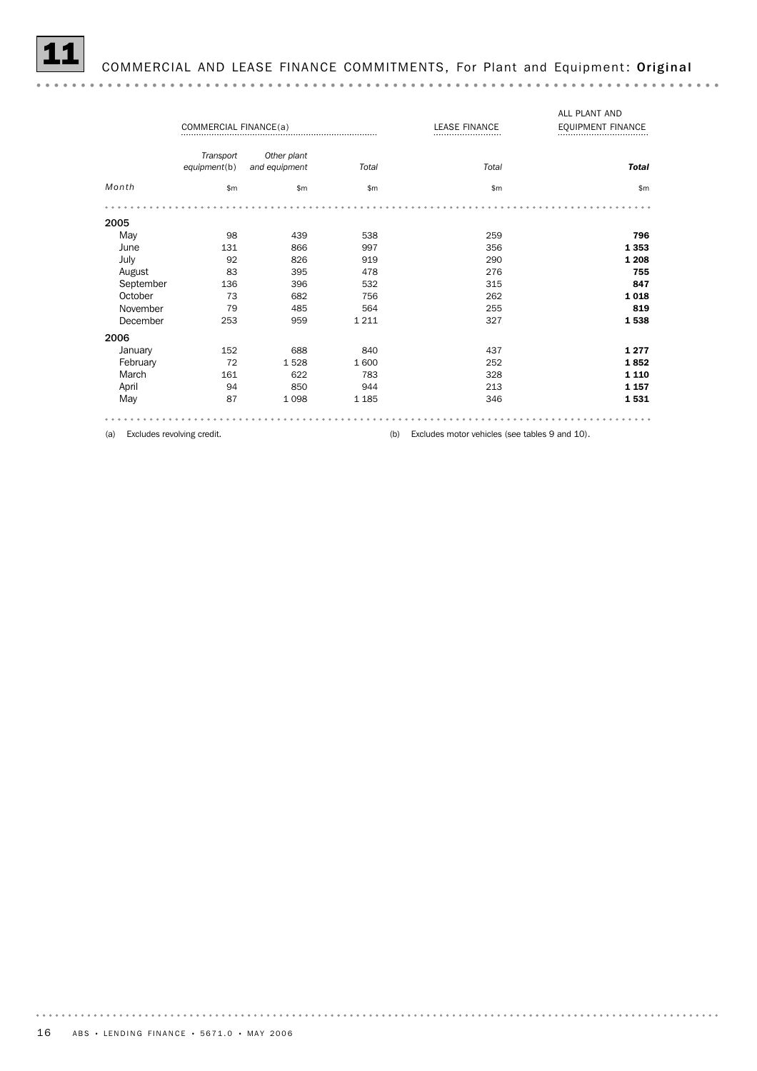

## COMMERCIAL AND LEASE FINANCE COMMITMENTS, For Plant and Equipment: Original

|           |                       |               |                          |                              | ALL PLANT AND |
|-----------|-----------------------|---------------|--------------------------|------------------------------|---------------|
|           | COMMERCIAL FINANCE(a) |               | <b>LEASE FINANCE</b><br> | <b>EQUIPMENT FINANCE</b><br> |               |
|           | Transport             | Other plant   |                          |                              |               |
|           | equipment(b)          | and equipment | Total                    | Total                        | <b>Total</b>  |
| Month     | \$m                   | \$m\$         | \$m                      | \$m                          | \$m\$         |
|           |                       |               |                          |                              |               |
| 2005      |                       |               |                          |                              |               |
| May       | 98                    | 439           | 538                      | 259                          | 796           |
| June      | 131                   | 866           | 997                      | 356                          | 1353          |
| July      | 92                    | 826           | 919                      | 290                          | 1 2 0 8       |
| August    | 83                    | 395           | 478                      | 276                          | 755           |
| September | 136                   | 396           | 532                      | 315                          | 847           |
| October   | 73                    | 682           | 756                      | 262                          | 1018          |
| November  | 79                    | 485           | 564                      | 255                          | 819           |
| December  | 253                   | 959           | 1 2 1 1                  | 327                          | 1538          |
| 2006      |                       |               |                          |                              |               |
| January   | 152                   | 688           | 840                      | 437                          | 1277          |
| February  | 72                    | 1528          | 1 600                    | 252                          | 1852          |
| March     | 161                   | 622           | 783                      | 328                          | 1 1 1 0       |
| April     | 94                    | 850           | 944                      | 213                          | 1 1 5 7       |
| May       | 87                    | 1098          | 1 1 8 5                  | 346                          | 1531          |
|           |                       |               |                          |                              |               |

(a) Excludes revolving credit. (b) Excludes motor vehicles (see tables 9 and 10).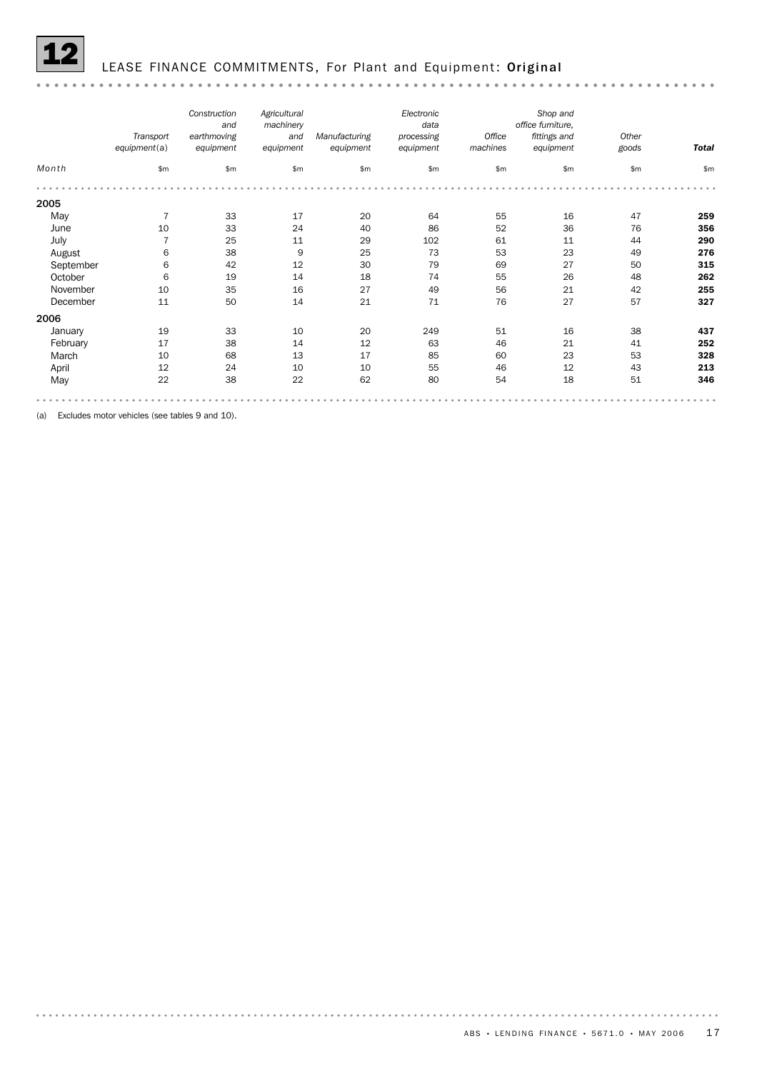

### LEASE FINANCE COMMITMENTS, For Plant and Equipment: Original

#### *Construction Agricultural Electronic Shop and machinery office furniture, and data earthmoving Office Other Transport fittings and Manufacturing and processing equipment*(a) *equipment equipment equipment equipment machines equipment goods Total Month* \$m \$m \$m \$m \$m \$m \$m \$m \$m 2005 May 7 33 17 20 64 55 16 47 **259** June 10 33 24 40 86 52 36 76 356 July 7 25 11 29 102 61 11 44 290 August 6 38 9 25 73 53 23 49 276 September 6 42 12 30 79 69 27 50 315 October 6 19 14 18 74 55 26 48 262 November 10 35 16 27 49 56 21 42 **255** December 11 50 14 21 71 76 27 57 **327** 2006 <table>\n<tbody>\n<tr>\n<th>January</th>\n<th>19</th>\n<th>33</th>\n<th>10</th>\n<th>20</th>\n<th>249</th>\n<th>51</th>\n<th>16</th>\n<th>38</th>\n<th>437</th>\n</tr>\n<tr>\n<td>February</td>\n<td>17</td>\n<td>38</td>\n<td>14</td>\n<td>12</td>\n<td>63</td>\n<td>46</td>\n<td>21</td>\n<td>41</td>\n<td>252</td>\n</tr>\n<tr>\n<td>March</td>\n<td>10</td>\n<td>68</td>\n<td>13</td>\n<td>1 February 17 38 14 12 63 46 21 41 **252** March 10 68 13 17 85 60 23 53 **328** April 12 24 10 10 55 46 12 43 **213** May 22 38 22 62 80 54 18 51 **346**

(a) Excludes motor vehicles (see tables 9 and 10).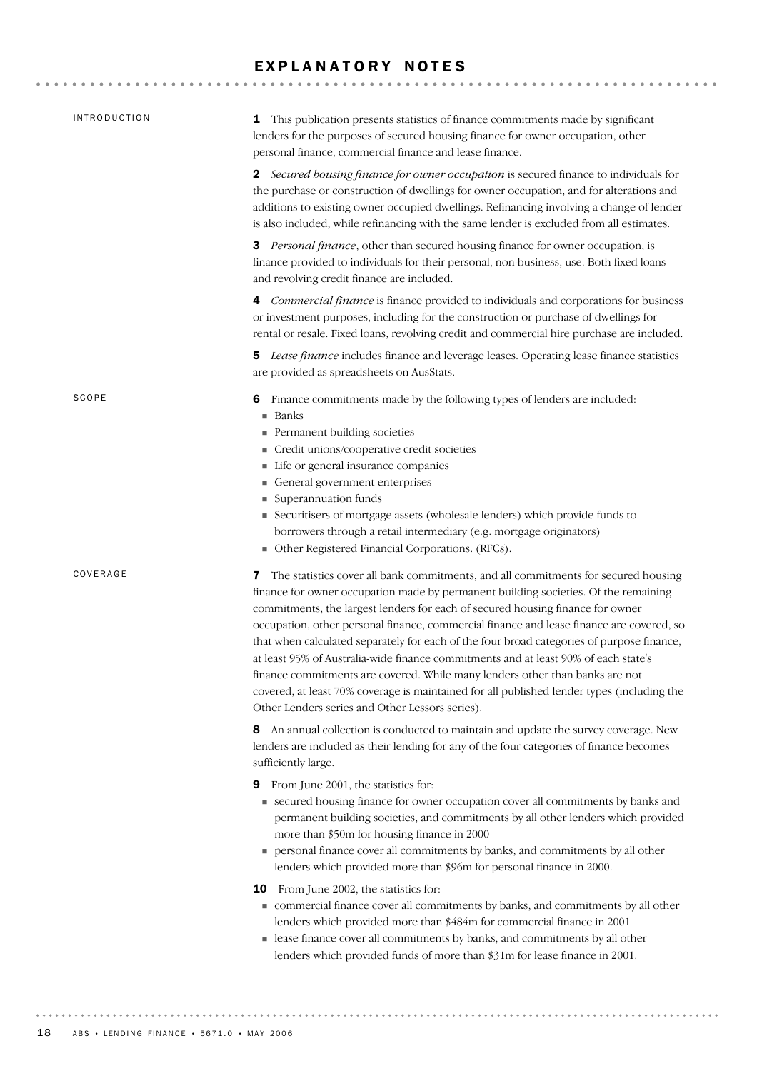## EXPLANATORY NOTES

| <b>INTRODUCTION</b> | <b>1</b> This publication presents statistics of finance commitments made by significant<br>lenders for the purposes of secured housing finance for owner occupation, other<br>personal finance, commercial finance and lease finance.                                                                                                                                                                                                                                                                                                                                                                                                                                                                                                                                            |
|---------------------|-----------------------------------------------------------------------------------------------------------------------------------------------------------------------------------------------------------------------------------------------------------------------------------------------------------------------------------------------------------------------------------------------------------------------------------------------------------------------------------------------------------------------------------------------------------------------------------------------------------------------------------------------------------------------------------------------------------------------------------------------------------------------------------|
|                     | <b>2</b> Secured bousing finance for owner occupation is secured finance to individuals for<br>the purchase or construction of dwellings for owner occupation, and for alterations and<br>additions to existing owner occupied dwellings. Refinancing involving a change of lender<br>is also included, while refinancing with the same lender is excluded from all estimates.                                                                                                                                                                                                                                                                                                                                                                                                    |
|                     | 3 Personal finance, other than secured housing finance for owner occupation, is<br>finance provided to individuals for their personal, non-business, use. Both fixed loans<br>and revolving credit finance are included.                                                                                                                                                                                                                                                                                                                                                                                                                                                                                                                                                          |
|                     | 4 Commercial finance is finance provided to individuals and corporations for business<br>or investment purposes, including for the construction or purchase of dwellings for<br>rental or resale. Fixed loans, revolving credit and commercial hire purchase are included.                                                                                                                                                                                                                                                                                                                                                                                                                                                                                                        |
|                     | 5 Lease finance includes finance and leverage leases. Operating lease finance statistics<br>are provided as spreadsheets on AusStats.                                                                                                                                                                                                                                                                                                                                                                                                                                                                                                                                                                                                                                             |
| SCOPE               | Finance commitments made by the following types of lenders are included:<br>6<br>■ Banks<br>Permanent building societies<br>Credit unions/cooperative credit societies<br>Life or general insurance companies<br>General government enterprises<br>Superannuation funds<br>Securitisers of mortgage assets (wholesale lenders) which provide funds to<br>borrowers through a retail intermediary (e.g. mortgage originators)<br>• Other Registered Financial Corporations. (RFCs).                                                                                                                                                                                                                                                                                                |
| COVERAGE            | The statistics cover all bank commitments, and all commitments for secured housing<br>7<br>finance for owner occupation made by permanent building societies. Of the remaining<br>commitments, the largest lenders for each of secured housing finance for owner<br>occupation, other personal finance, commercial finance and lease finance are covered, so<br>that when calculated separately for each of the four broad categories of purpose finance,<br>at least 95% of Australia-wide finance commitments and at least 90% of each state's<br>finance commitments are covered. While many lenders other than banks are not<br>covered, at least 70% coverage is maintained for all published lender types (including the<br>Other Lenders series and Other Lessors series). |
|                     | An annual collection is conducted to maintain and update the survey coverage. New<br>8<br>lenders are included as their lending for any of the four categories of finance becomes<br>sufficiently large.                                                                                                                                                                                                                                                                                                                                                                                                                                                                                                                                                                          |
|                     | From June 2001, the statistics for:<br>9<br>• secured housing finance for owner occupation cover all commitments by banks and<br>permanent building societies, and commitments by all other lenders which provided<br>more than \$50m for housing finance in 2000<br>personal finance cover all commitments by banks, and commitments by all other<br>lenders which provided more than \$96m for personal finance in 2000.                                                                                                                                                                                                                                                                                                                                                        |
|                     | <b>10</b> From June 2002, the statistics for:<br>commercial finance cover all commitments by banks, and commitments by all other<br>lenders which provided more than \$484m for commercial finance in 2001<br>Lease finance cover all commitments by banks, and commitments by all other<br>lenders which provided funds of more than \$31m for lease finance in 2001.                                                                                                                                                                                                                                                                                                                                                                                                            |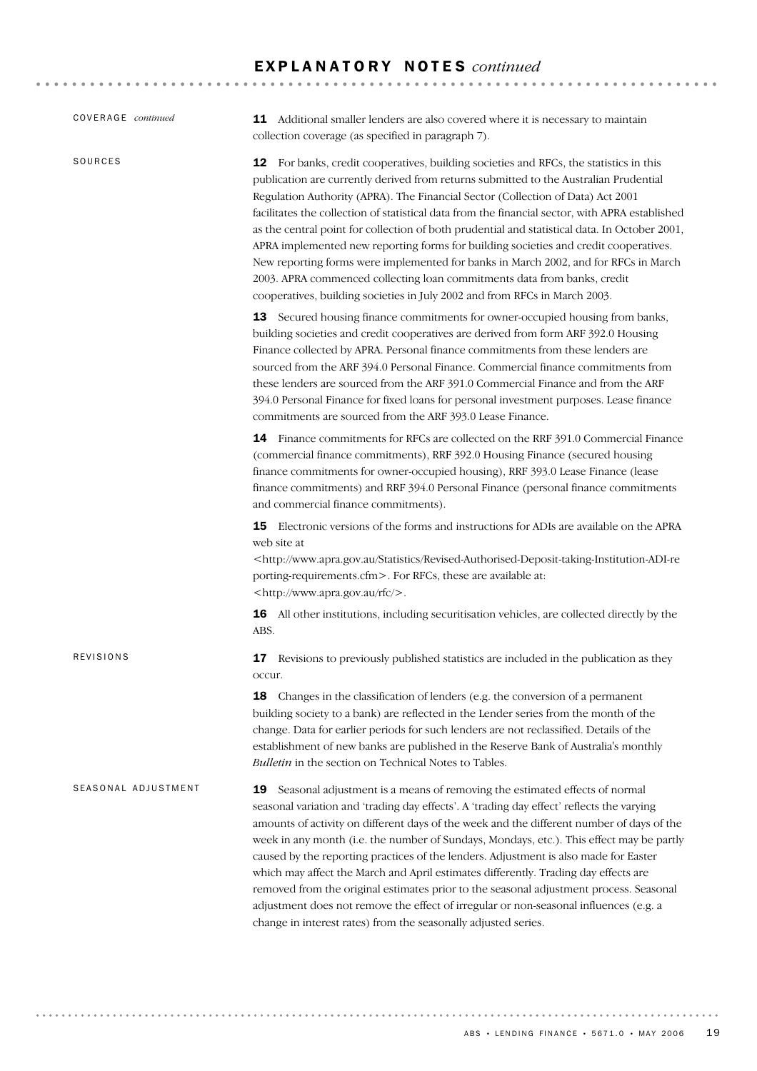## E X P L A N A T O R Y N O T E S *continued*

| COVERAGE continued  | 11 Additional smaller lenders are also covered where it is necessary to maintain<br>collection coverage (as specified in paragraph 7).                                                                                                                                                                                                                                                                                                                                                                                                                                                                                                                                                                                                                                                                          |
|---------------------|-----------------------------------------------------------------------------------------------------------------------------------------------------------------------------------------------------------------------------------------------------------------------------------------------------------------------------------------------------------------------------------------------------------------------------------------------------------------------------------------------------------------------------------------------------------------------------------------------------------------------------------------------------------------------------------------------------------------------------------------------------------------------------------------------------------------|
| SOURCES             | 12 For banks, credit cooperatives, building societies and RFCs, the statistics in this<br>publication are currently derived from returns submitted to the Australian Prudential<br>Regulation Authority (APRA). The Financial Sector (Collection of Data) Act 2001<br>facilitates the collection of statistical data from the financial sector, with APRA established<br>as the central point for collection of both prudential and statistical data. In October 2001,<br>APRA implemented new reporting forms for building societies and credit cooperatives.<br>New reporting forms were implemented for banks in March 2002, and for RFCs in March<br>2003. APRA commenced collecting loan commitments data from banks, credit<br>cooperatives, building societies in July 2002 and from RFCs in March 2003. |
|                     | 13 Secured housing finance commitments for owner-occupied housing from banks,<br>building societies and credit cooperatives are derived from form ARF 392.0 Housing<br>Finance collected by APRA. Personal finance commitments from these lenders are<br>sourced from the ARF 394.0 Personal Finance. Commercial finance commitments from<br>these lenders are sourced from the ARF 391.0 Commercial Finance and from the ARF<br>394.0 Personal Finance for fixed loans for personal investment purposes. Lease finance<br>commitments are sourced from the ARF 393.0 Lease Finance.                                                                                                                                                                                                                            |
|                     | 14 Finance commitments for RFCs are collected on the RRF 391.0 Commercial Finance<br>(commercial finance commitments), RRF 392.0 Housing Finance (secured housing<br>finance commitments for owner-occupied housing), RRF 393.0 Lease Finance (lease<br>finance commitments) and RRF 394.0 Personal Finance (personal finance commitments<br>and commercial finance commitments).                                                                                                                                                                                                                                                                                                                                                                                                                               |
|                     | <b>15</b> Electronic versions of the forms and instructions for ADIs are available on the APRA<br>web site at<br><http: revised-authorised-deposit-taking-institution-adi-re<br="" statistics="" www.apra.gov.au="">porting-requirements.cfm&gt;. For RFCs, these are available at:<br/><http: rfc="" www.apra.gov.au=""></http:>.</http:>                                                                                                                                                                                                                                                                                                                                                                                                                                                                      |
|                     | All other institutions, including securitisation vehicles, are collected directly by the<br>16<br>ABS.                                                                                                                                                                                                                                                                                                                                                                                                                                                                                                                                                                                                                                                                                                          |
| <b>REVISIONS</b>    | Revisions to previously published statistics are included in the publication as they<br>17<br>occur.                                                                                                                                                                                                                                                                                                                                                                                                                                                                                                                                                                                                                                                                                                            |
|                     | 18 Changes in the classification of lenders (e.g. the conversion of a permanent<br>building society to a bank) are reflected in the Lender series from the month of the<br>change. Data for earlier periods for such lenders are not reclassified. Details of the<br>establishment of new banks are published in the Reserve Bank of Australia's monthly<br>Bulletin in the section on Technical Notes to Tables.                                                                                                                                                                                                                                                                                                                                                                                               |
| SEASONAL ADJUSTMENT | Seasonal adjustment is a means of removing the estimated effects of normal<br>19<br>seasonal variation and 'trading day effects'. A 'trading day effect' reflects the varying<br>amounts of activity on different days of the week and the different number of days of the<br>week in any month (i.e. the number of Sundays, Mondays, etc.). This effect may be partly<br>caused by the reporting practices of the lenders. Adjustment is also made for Easter<br>which may affect the March and April estimates differently. Trading day effects are<br>removed from the original estimates prior to the seasonal adjustment process. Seasonal<br>adjustment does not remove the effect of irregular or non-seasonal influences (e.g. a<br>change in interest rates) from the seasonally adjusted series.      |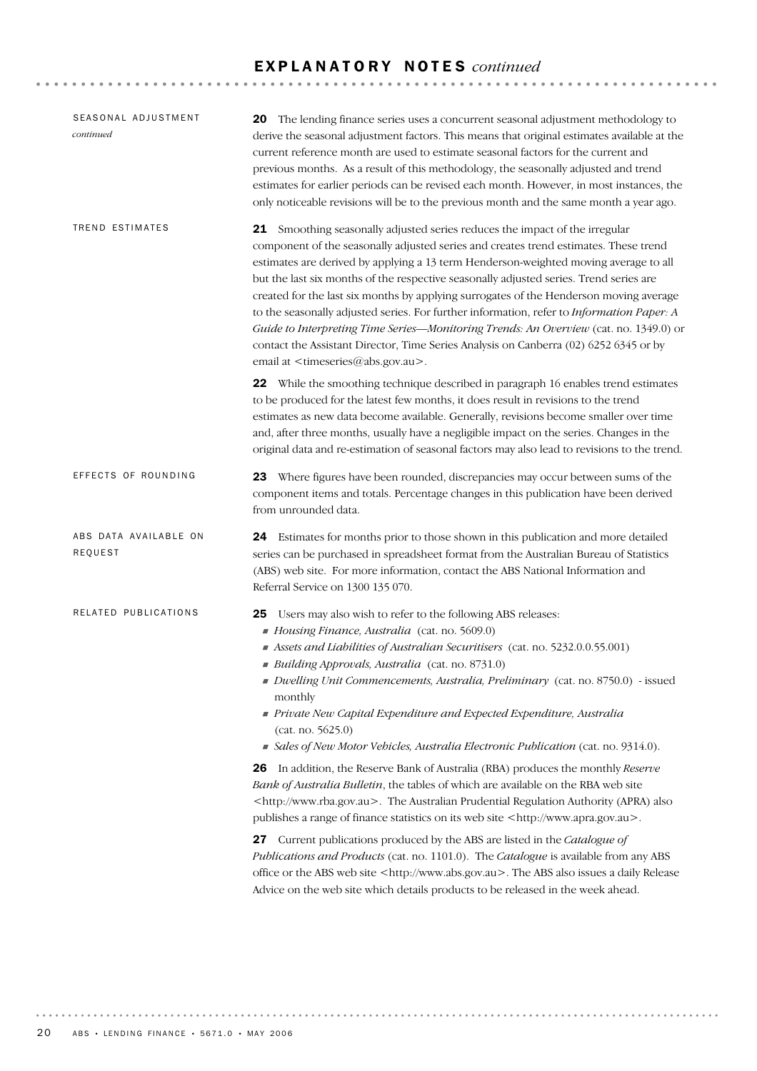## E X P L A N A T O R Y N O T E S *continued*

| SEASONAL ADJUSTMENT<br>continued | <b>20</b> The lending finance series uses a concurrent seasonal adjustment methodology to<br>derive the seasonal adjustment factors. This means that original estimates available at the<br>current reference month are used to estimate seasonal factors for the current and<br>previous months. As a result of this methodology, the seasonally adjusted and trend<br>estimates for earlier periods can be revised each month. However, in most instances, the<br>only noticeable revisions will be to the previous month and the same month a year ago.                                                                                                                                                                                                                                                                                                                                                                                                                                                                                                                                                                                                                                                                                                                                  |
|----------------------------------|---------------------------------------------------------------------------------------------------------------------------------------------------------------------------------------------------------------------------------------------------------------------------------------------------------------------------------------------------------------------------------------------------------------------------------------------------------------------------------------------------------------------------------------------------------------------------------------------------------------------------------------------------------------------------------------------------------------------------------------------------------------------------------------------------------------------------------------------------------------------------------------------------------------------------------------------------------------------------------------------------------------------------------------------------------------------------------------------------------------------------------------------------------------------------------------------------------------------------------------------------------------------------------------------|
| TREND ESTIMATES                  | 21 Smoothing seasonally adjusted series reduces the impact of the irregular<br>component of the seasonally adjusted series and creates trend estimates. These trend<br>estimates are derived by applying a 13 term Henderson-weighted moving average to all<br>but the last six months of the respective seasonally adjusted series. Trend series are<br>created for the last six months by applying surrogates of the Henderson moving average<br>to the seasonally adjusted series. For further information, refer to Information Paper: A<br>Guide to Interpreting Time Series-Monitoring Trends: An Overview (cat. no. 1349.0) or<br>contact the Assistant Director, Time Series Analysis on Canberra (02) 6252 6345 or by<br>email at <timeseries@abs.gov.au>.</timeseries@abs.gov.au>                                                                                                                                                                                                                                                                                                                                                                                                                                                                                                 |
|                                  | 22 While the smoothing technique described in paragraph 16 enables trend estimates<br>to be produced for the latest few months, it does result in revisions to the trend<br>estimates as new data become available. Generally, revisions become smaller over time<br>and, after three months, usually have a negligible impact on the series. Changes in the<br>original data and re-estimation of seasonal factors may also lead to revisions to the trend.                                                                                                                                                                                                                                                                                                                                                                                                                                                                                                                                                                                                                                                                                                                                                                                                                                |
| EFFECTS OF ROUNDING              | 23 Where figures have been rounded, discrepancies may occur between sums of the<br>component items and totals. Percentage changes in this publication have been derived<br>from unrounded data.                                                                                                                                                                                                                                                                                                                                                                                                                                                                                                                                                                                                                                                                                                                                                                                                                                                                                                                                                                                                                                                                                             |
| ABS DATA AVAILABLE ON<br>REQUEST | Estimates for months prior to those shown in this publication and more detailed<br>24<br>series can be purchased in spreadsheet format from the Australian Bureau of Statistics<br>(ABS) web site. For more information, contact the ABS National Information and<br>Referral Service on 1300 135 070.                                                                                                                                                                                                                                                                                                                                                                                                                                                                                                                                                                                                                                                                                                                                                                                                                                                                                                                                                                                      |
| RELATED PUBLICATIONS             | Users may also wish to refer to the following ABS releases:<br>25<br>Housing Finance, Australia (cat. no. 5609.0)<br>Assets and Liabilities of Australian Securitisers (cat. no. 5232.0.0.55.001)<br>Building Approvals, Australia (cat. no. 8731.0)<br>Dwelling Unit Commencements, Australia, Preliminary (cat. no. 8750.0) - issued<br>monthly<br>Private New Capital Expenditure and Expected Expenditure, Australia<br>(cat. no. 5625.0)<br>Sales of New Motor Vehicles, Australia Electronic Publication (cat. no. 9314.0).<br><b>26</b> In addition, the Reserve Bank of Australia (RBA) produces the monthly <i>Reserve</i><br>Bank of Australia Bulletin, the tables of which are available on the RBA web site<br><http: www.rba.gov.au="">. The Australian Prudential Regulation Authority (APRA) also<br/>publishes a range of finance statistics on its web site <http: www.apra.gov.au="">.<br/>27 Current publications produced by the ABS are listed in the Catalogue of<br/>Publications and Products (cat. no. 1101.0). The Catalogue is available from any ABS<br/>office or the ABS web site <http: www.abs.gov.au="">. The ABS also issues a daily Release<br/>Advice on the web site which details products to be released in the week ahead.</http:></http:></http:> |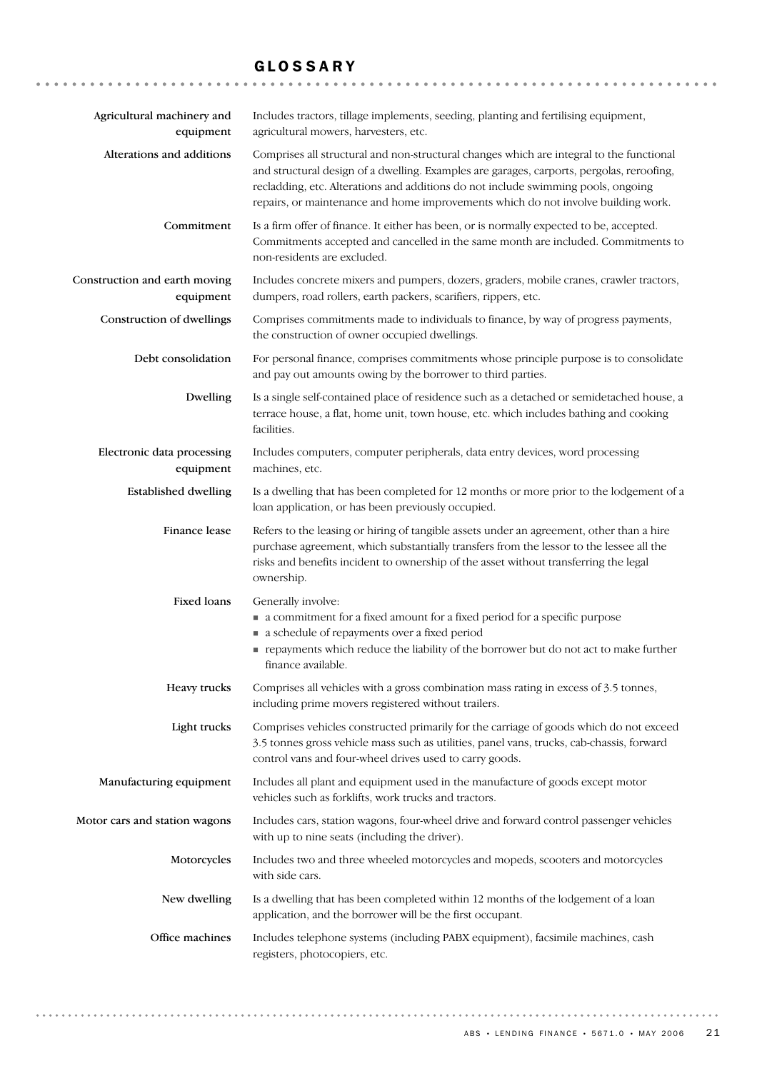### GLOSSARY

| Agricultural machinery and<br>equipment    | Includes tractors, tillage implements, seeding, planting and fertilising equipment,<br>agricultural mowers, harvesters, etc.                                                                                                                                                                                                                                    |
|--------------------------------------------|-----------------------------------------------------------------------------------------------------------------------------------------------------------------------------------------------------------------------------------------------------------------------------------------------------------------------------------------------------------------|
| Alterations and additions                  | Comprises all structural and non-structural changes which are integral to the functional<br>and structural design of a dwelling. Examples are garages, carports, pergolas, reroofing,<br>recladding, etc. Alterations and additions do not include swimming pools, ongoing<br>repairs, or maintenance and home improvements which do not involve building work. |
| Commitment                                 | Is a firm offer of finance. It either has been, or is normally expected to be, accepted.<br>Commitments accepted and cancelled in the same month are included. Commitments to<br>non-residents are excluded.                                                                                                                                                    |
| Construction and earth moving<br>equipment | Includes concrete mixers and pumpers, dozers, graders, mobile cranes, crawler tractors,<br>dumpers, road rollers, earth packers, scarifiers, rippers, etc.                                                                                                                                                                                                      |
| Construction of dwellings                  | Comprises commitments made to individuals to finance, by way of progress payments,<br>the construction of owner occupied dwellings.                                                                                                                                                                                                                             |
| Debt consolidation                         | For personal finance, comprises commitments whose principle purpose is to consolidate<br>and pay out amounts owing by the borrower to third parties.                                                                                                                                                                                                            |
| Dwelling                                   | Is a single self-contained place of residence such as a detached or semidetached house, a<br>terrace house, a flat, home unit, town house, etc. which includes bathing and cooking<br>facilities.                                                                                                                                                               |
| Electronic data processing<br>equipment    | Includes computers, computer peripherals, data entry devices, word processing<br>machines, etc.                                                                                                                                                                                                                                                                 |
| <b>Established dwelling</b>                | Is a dwelling that has been completed for 12 months or more prior to the lodgement of a<br>loan application, or has been previously occupied.                                                                                                                                                                                                                   |
| Finance lease                              | Refers to the leasing or hiring of tangible assets under an agreement, other than a hire<br>purchase agreement, which substantially transfers from the lessor to the lessee all the<br>risks and benefits incident to ownership of the asset without transferring the legal<br>ownership.                                                                       |
| Fixed loans                                | Generally involve:<br>a commitment for a fixed amount for a fixed period for a specific purpose<br>a schedule of repayments over a fixed period<br>repayments which reduce the liability of the borrower but do not act to make further<br>finance available.                                                                                                   |
| Heavy trucks                               | Comprises all vehicles with a gross combination mass rating in excess of 3.5 tonnes,<br>including prime movers registered without trailers.                                                                                                                                                                                                                     |
| Light trucks                               | Comprises vehicles constructed primarily for the carriage of goods which do not exceed<br>3.5 tonnes gross vehicle mass such as utilities, panel vans, trucks, cab-chassis, forward<br>control vans and four-wheel drives used to carry goods.                                                                                                                  |
| Manufacturing equipment                    | Includes all plant and equipment used in the manufacture of goods except motor<br>vehicles such as forklifts, work trucks and tractors.                                                                                                                                                                                                                         |
| Motor cars and station wagons              | Includes cars, station wagons, four-wheel drive and forward control passenger vehicles<br>with up to nine seats (including the driver).                                                                                                                                                                                                                         |
| Motorcycles                                | Includes two and three wheeled motorcycles and mopeds, scooters and motorcycles<br>with side cars.                                                                                                                                                                                                                                                              |
| New dwelling                               | Is a dwelling that has been completed within 12 months of the lodgement of a loan<br>application, and the borrower will be the first occupant.                                                                                                                                                                                                                  |
| Office machines                            | Includes telephone systems (including PABX equipment), facsimile machines, cash<br>registers, photocopiers, etc.                                                                                                                                                                                                                                                |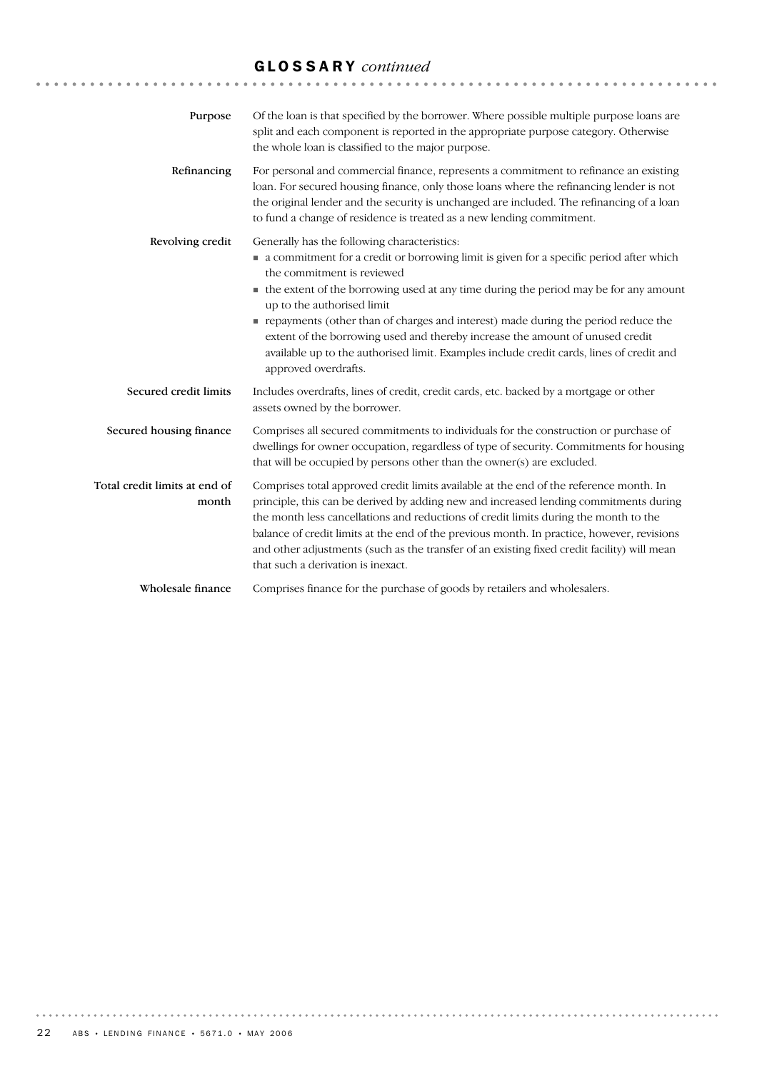# GLOSSARY *continued*

| Purpose                                | Of the loan is that specified by the borrower. Where possible multiple purpose loans are<br>split and each component is reported in the appropriate purpose category. Otherwise<br>the whole loan is classified to the major purpose.                                                                                                                                                                                                                                                                                                                                                   |
|----------------------------------------|-----------------------------------------------------------------------------------------------------------------------------------------------------------------------------------------------------------------------------------------------------------------------------------------------------------------------------------------------------------------------------------------------------------------------------------------------------------------------------------------------------------------------------------------------------------------------------------------|
| Refinancing                            | For personal and commercial finance, represents a commitment to refinance an existing<br>loan. For secured housing finance, only those loans where the refinancing lender is not<br>the original lender and the security is unchanged are included. The refinancing of a loan<br>to fund a change of residence is treated as a new lending commitment.                                                                                                                                                                                                                                  |
| Revolving credit                       | Generally has the following characteristics:<br>a commitment for a credit or borrowing limit is given for a specific period after which<br>the commitment is reviewed<br>• the extent of the borrowing used at any time during the period may be for any amount<br>up to the authorised limit<br>repayments (other than of charges and interest) made during the period reduce the<br>extent of the borrowing used and thereby increase the amount of unused credit<br>available up to the authorised limit. Examples include credit cards, lines of credit and<br>approved overdrafts. |
| Secured credit limits                  | Includes overdrafts, lines of credit, credit cards, etc. backed by a mortgage or other<br>assets owned by the borrower.                                                                                                                                                                                                                                                                                                                                                                                                                                                                 |
| Secured housing finance                | Comprises all secured commitments to individuals for the construction or purchase of<br>dwellings for owner occupation, regardless of type of security. Commitments for housing<br>that will be occupied by persons other than the owner(s) are excluded.                                                                                                                                                                                                                                                                                                                               |
| Total credit limits at end of<br>month | Comprises total approved credit limits available at the end of the reference month. In<br>principle, this can be derived by adding new and increased lending commitments during<br>the month less cancellations and reductions of credit limits during the month to the<br>balance of credit limits at the end of the previous month. In practice, however, revisions<br>and other adjustments (such as the transfer of an existing fixed credit facility) will mean<br>that such a derivation is inexact.                                                                              |
| Wholesale finance                      | Comprises finance for the purchase of goods by retailers and wholesalers.                                                                                                                                                                                                                                                                                                                                                                                                                                                                                                               |